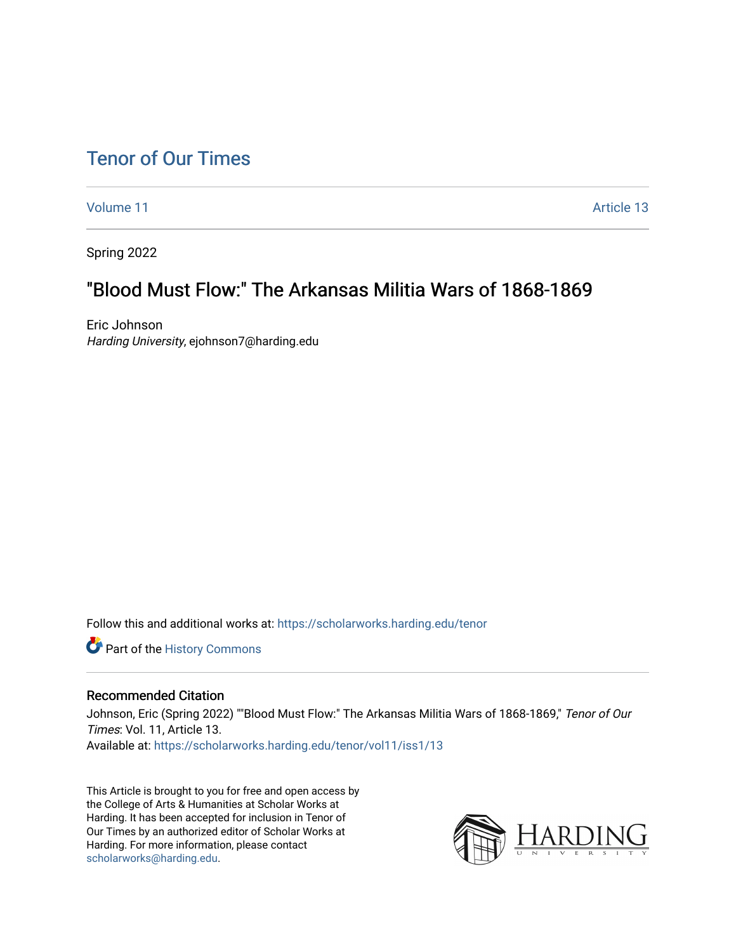# [Tenor of Our Times](https://scholarworks.harding.edu/tenor)

[Volume 11](https://scholarworks.harding.edu/tenor/vol11) Article 13

Spring 2022

# "Blood Must Flow:" The Arkansas Militia Wars of 1868-1869

Eric Johnson Harding University, ejohnson7@harding.edu

Follow this and additional works at: [https://scholarworks.harding.edu/tenor](https://scholarworks.harding.edu/tenor?utm_source=scholarworks.harding.edu%2Ftenor%2Fvol11%2Fiss1%2F13&utm_medium=PDF&utm_campaign=PDFCoverPages)

Part of the [History Commons](http://network.bepress.com/hgg/discipline/489?utm_source=scholarworks.harding.edu%2Ftenor%2Fvol11%2Fiss1%2F13&utm_medium=PDF&utm_campaign=PDFCoverPages) 

### Recommended Citation

Johnson, Eric (Spring 2022) ""Blood Must Flow:" The Arkansas Militia Wars of 1868-1869," Tenor of Our Times: Vol. 11, Article 13. Available at: [https://scholarworks.harding.edu/tenor/vol11/iss1/13](https://scholarworks.harding.edu/tenor/vol11/iss1/13?utm_source=scholarworks.harding.edu%2Ftenor%2Fvol11%2Fiss1%2F13&utm_medium=PDF&utm_campaign=PDFCoverPages) 

This Article is brought to you for free and open access by the College of Arts & Humanities at Scholar Works at Harding. It has been accepted for inclusion in Tenor of Our Times by an authorized editor of Scholar Works at Harding. For more information, please contact [scholarworks@harding.edu](mailto:scholarworks@harding.edu).

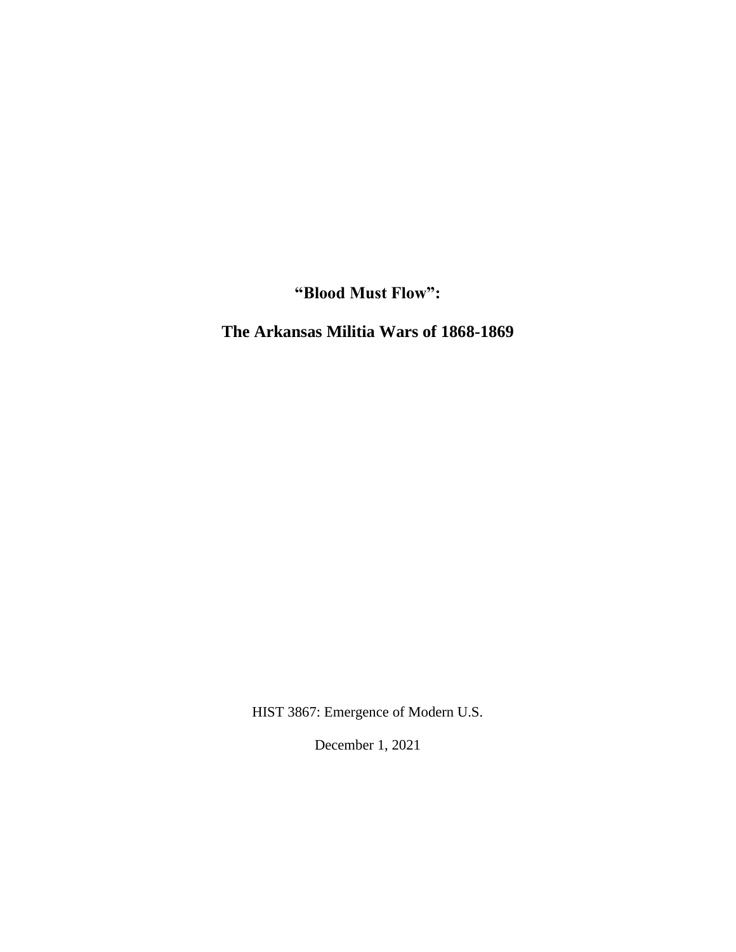**"Blood Must Flow":**

**The Arkansas Militia Wars of 1868-1869**

HIST 3867: Emergence of Modern U.S.

December 1, 2021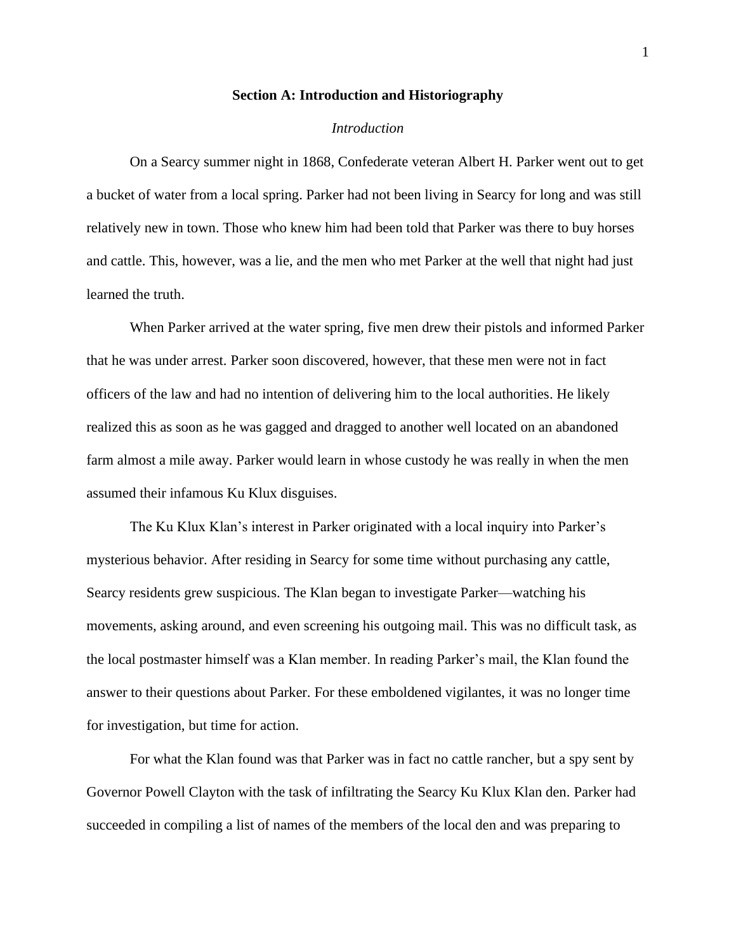#### **Section A: Introduction and Historiography**

### *Introduction*

On a Searcy summer night in 1868, Confederate veteran Albert H. Parker went out to get a bucket of water from a local spring. Parker had not been living in Searcy for long and was still relatively new in town. Those who knew him had been told that Parker was there to buy horses and cattle. This, however, was a lie, and the men who met Parker at the well that night had just learned the truth.

When Parker arrived at the water spring, five men drew their pistols and informed Parker that he was under arrest. Parker soon discovered, however, that these men were not in fact officers of the law and had no intention of delivering him to the local authorities. He likely realized this as soon as he was gagged and dragged to another well located on an abandoned farm almost a mile away. Parker would learn in whose custody he was really in when the men assumed their infamous Ku Klux disguises.

The Ku Klux Klan's interest in Parker originated with a local inquiry into Parker's mysterious behavior. After residing in Searcy for some time without purchasing any cattle, Searcy residents grew suspicious. The Klan began to investigate Parker—watching his movements, asking around, and even screening his outgoing mail. This was no difficult task, as the local postmaster himself was a Klan member. In reading Parker's mail, the Klan found the answer to their questions about Parker. For these emboldened vigilantes, it was no longer time for investigation, but time for action.

For what the Klan found was that Parker was in fact no cattle rancher, but a spy sent by Governor Powell Clayton with the task of infiltrating the Searcy Ku Klux Klan den. Parker had succeeded in compiling a list of names of the members of the local den and was preparing to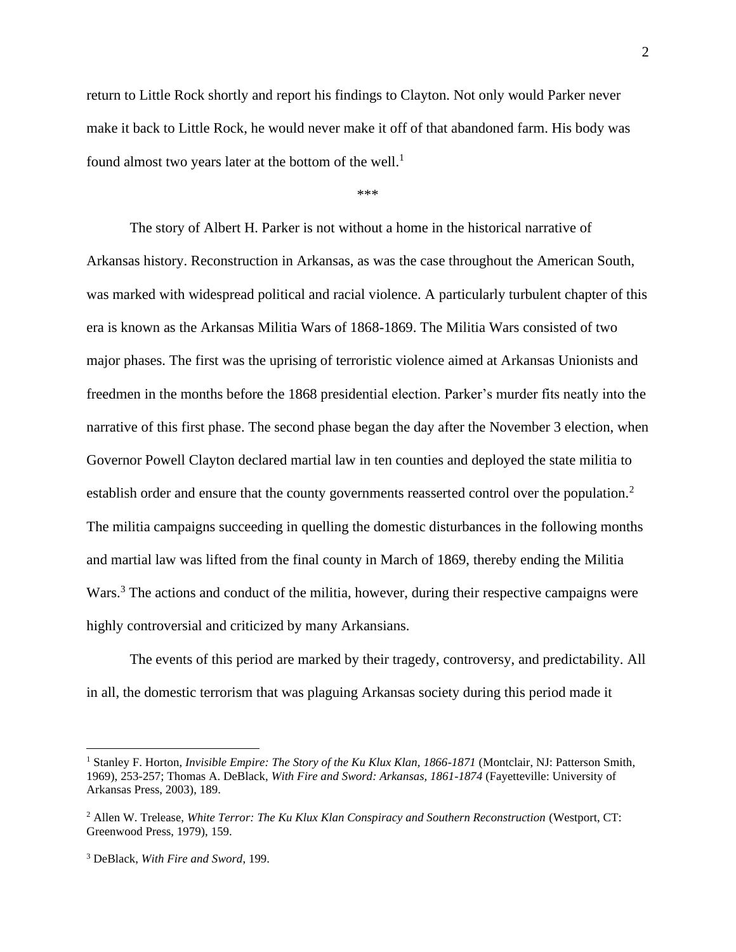return to Little Rock shortly and report his findings to Clayton. Not only would Parker never make it back to Little Rock, he would never make it off of that abandoned farm. His body was found almost two years later at the bottom of the well.<sup>1</sup>

#### \*\*\*

The story of Albert H. Parker is not without a home in the historical narrative of Arkansas history. Reconstruction in Arkansas, as was the case throughout the American South, was marked with widespread political and racial violence. A particularly turbulent chapter of this era is known as the Arkansas Militia Wars of 1868-1869. The Militia Wars consisted of two major phases. The first was the uprising of terroristic violence aimed at Arkansas Unionists and freedmen in the months before the 1868 presidential election. Parker's murder fits neatly into the narrative of this first phase. The second phase began the day after the November 3 election, when Governor Powell Clayton declared martial law in ten counties and deployed the state militia to establish order and ensure that the county governments reasserted control over the population.<sup>2</sup> The militia campaigns succeeding in quelling the domestic disturbances in the following months and martial law was lifted from the final county in March of 1869, thereby ending the Militia Wars.<sup>3</sup> The actions and conduct of the militia, however, during their respective campaigns were highly controversial and criticized by many Arkansians.

The events of this period are marked by their tragedy, controversy, and predictability. All in all, the domestic terrorism that was plaguing Arkansas society during this period made it

<sup>&</sup>lt;sup>1</sup> Stanley F. Horton, *Invisible Empire: The Story of the Ku Klux Klan, 1866-1871* (Montclair, NJ: Patterson Smith, 1969), 253-257; Thomas A. DeBlack, *With Fire and Sword: Arkansas, 1861-1874* (Fayetteville: University of Arkansas Press, 2003), 189.

<sup>&</sup>lt;sup>2</sup> Allen W. Trelease, *White Terror: The Ku Klux Klan Conspiracy and Southern Reconstruction (Westport, CT:* Greenwood Press, 1979), 159.

<sup>3</sup> DeBlack, *With Fire and Sword*, 199.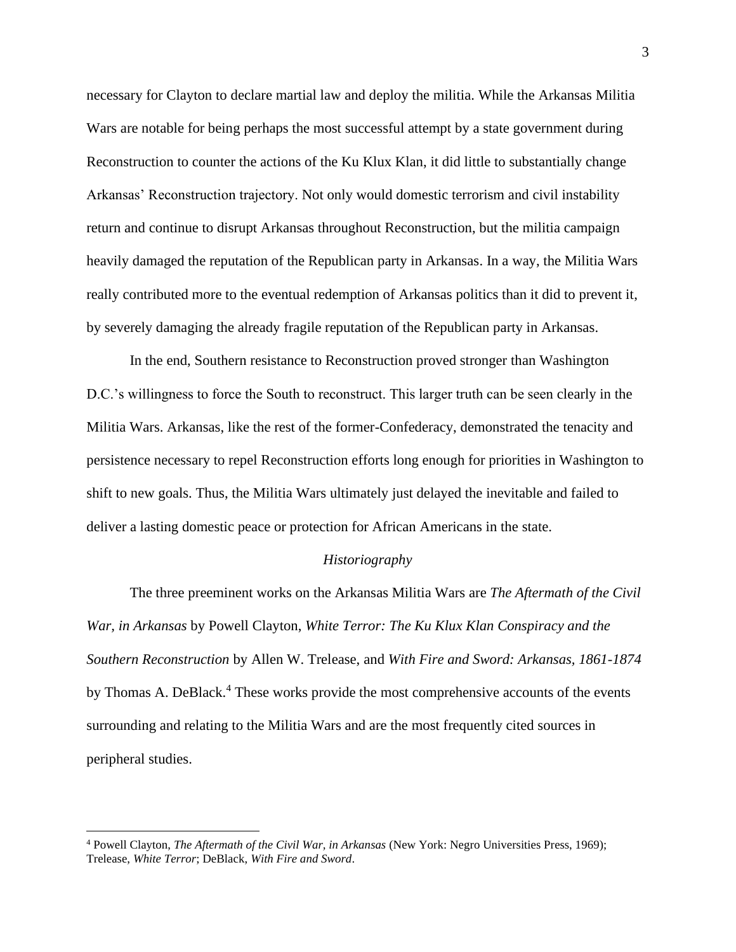necessary for Clayton to declare martial law and deploy the militia. While the Arkansas Militia Wars are notable for being perhaps the most successful attempt by a state government during Reconstruction to counter the actions of the Ku Klux Klan, it did little to substantially change Arkansas' Reconstruction trajectory. Not only would domestic terrorism and civil instability return and continue to disrupt Arkansas throughout Reconstruction, but the militia campaign heavily damaged the reputation of the Republican party in Arkansas. In a way, the Militia Wars really contributed more to the eventual redemption of Arkansas politics than it did to prevent it, by severely damaging the already fragile reputation of the Republican party in Arkansas.

In the end, Southern resistance to Reconstruction proved stronger than Washington D.C.'s willingness to force the South to reconstruct. This larger truth can be seen clearly in the Militia Wars. Arkansas, like the rest of the former-Confederacy, demonstrated the tenacity and persistence necessary to repel Reconstruction efforts long enough for priorities in Washington to shift to new goals. Thus, the Militia Wars ultimately just delayed the inevitable and failed to deliver a lasting domestic peace or protection for African Americans in the state.

#### *Historiography*

The three preeminent works on the Arkansas Militia Wars are *The Aftermath of the Civil War, in Arkansas* by Powell Clayton, *White Terror: The Ku Klux Klan Conspiracy and the Southern Reconstruction* by Allen W. Trelease, and *With Fire and Sword: Arkansas, 1861-1874*  by Thomas A. DeBlack.<sup>4</sup> These works provide the most comprehensive accounts of the events surrounding and relating to the Militia Wars and are the most frequently cited sources in peripheral studies.

<sup>4</sup> Powell Clayton, *The Aftermath of the Civil War, in Arkansas* (New York: Negro Universities Press, 1969); Trelease, *White Terror*; DeBlack, *With Fire and Sword*.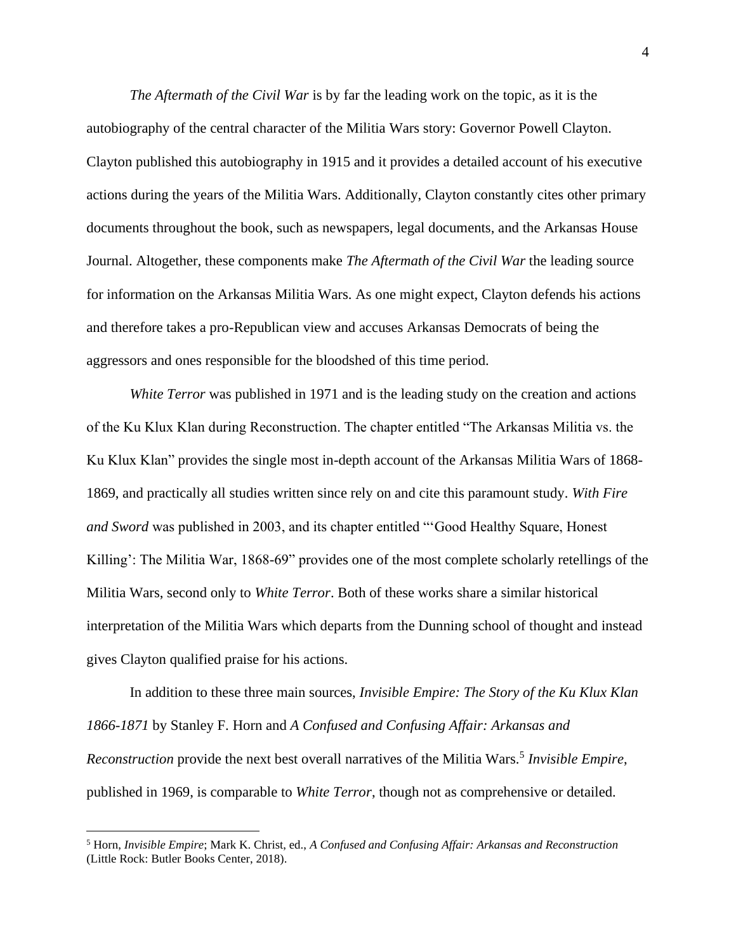*The Aftermath of the Civil War* is by far the leading work on the topic, as it is the autobiography of the central character of the Militia Wars story: Governor Powell Clayton. Clayton published this autobiography in 1915 and it provides a detailed account of his executive actions during the years of the Militia Wars. Additionally, Clayton constantly cites other primary documents throughout the book, such as newspapers, legal documents, and the Arkansas House Journal. Altogether, these components make *The Aftermath of the Civil War* the leading source for information on the Arkansas Militia Wars. As one might expect, Clayton defends his actions and therefore takes a pro-Republican view and accuses Arkansas Democrats of being the aggressors and ones responsible for the bloodshed of this time period.

*White Terror* was published in 1971 and is the leading study on the creation and actions of the Ku Klux Klan during Reconstruction. The chapter entitled "The Arkansas Militia vs. the Ku Klux Klan" provides the single most in-depth account of the Arkansas Militia Wars of 1868- 1869, and practically all studies written since rely on and cite this paramount study. *With Fire and Sword* was published in 2003, and its chapter entitled "'Good Healthy Square, Honest Killing': The Militia War, 1868-69" provides one of the most complete scholarly retellings of the Militia Wars, second only to *White Terror*. Both of these works share a similar historical interpretation of the Militia Wars which departs from the Dunning school of thought and instead gives Clayton qualified praise for his actions.

In addition to these three main sources, *Invisible Empire: The Story of the Ku Klux Klan 1866-1871* by Stanley F. Horn and *A Confused and Confusing Affair: Arkansas and*  Reconstruction provide the next best overall narratives of the Militia Wars.<sup>5</sup> Invisible Empire, published in 1969, is comparable to *White Terror*, though not as comprehensive or detailed.

<sup>5</sup> Horn, *Invisible Empire*; Mark K. Christ, ed., *A Confused and Confusing Affair: Arkansas and Reconstruction* (Little Rock: Butler Books Center, 2018).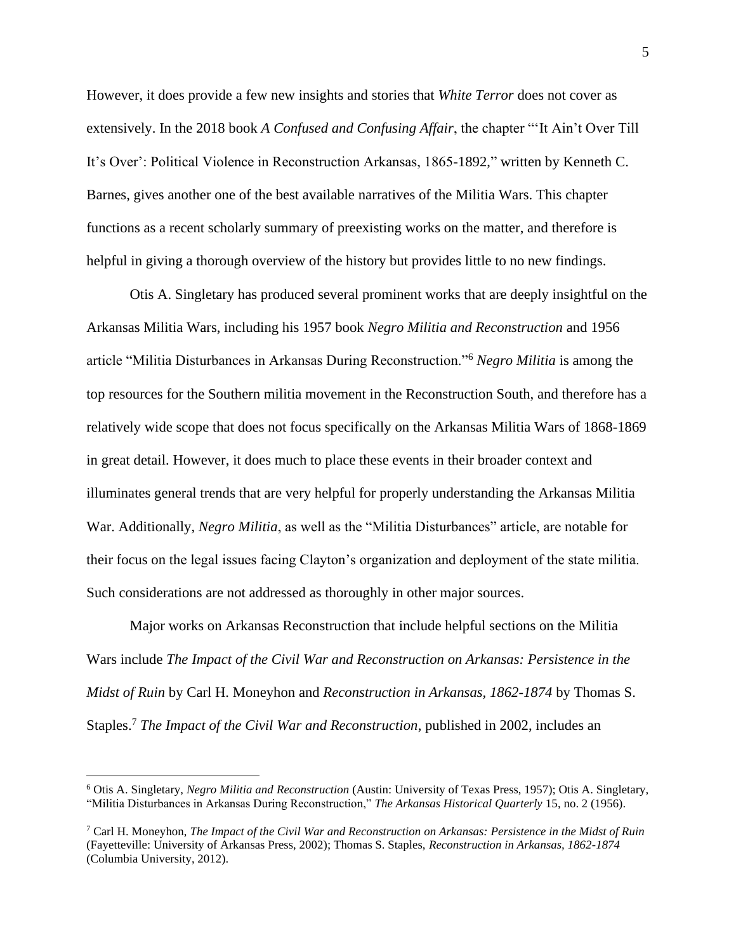However, it does provide a few new insights and stories that *White Terror* does not cover as extensively. In the 2018 book *A Confused and Confusing Affair*, the chapter "'It Ain't Over Till It's Over': Political Violence in Reconstruction Arkansas, 1865-1892," written by Kenneth C. Barnes, gives another one of the best available narratives of the Militia Wars. This chapter functions as a recent scholarly summary of preexisting works on the matter, and therefore is helpful in giving a thorough overview of the history but provides little to no new findings.

Otis A. Singletary has produced several prominent works that are deeply insightful on the Arkansas Militia Wars, including his 1957 book *Negro Militia and Reconstruction* and 1956 article "Militia Disturbances in Arkansas During Reconstruction."<sup>6</sup> *Negro Militia* is among the top resources for the Southern militia movement in the Reconstruction South, and therefore has a relatively wide scope that does not focus specifically on the Arkansas Militia Wars of 1868-1869 in great detail. However, it does much to place these events in their broader context and illuminates general trends that are very helpful for properly understanding the Arkansas Militia War. Additionally, *Negro Militia*, as well as the "Militia Disturbances" article, are notable for their focus on the legal issues facing Clayton's organization and deployment of the state militia. Such considerations are not addressed as thoroughly in other major sources.

Major works on Arkansas Reconstruction that include helpful sections on the Militia Wars include *The Impact of the Civil War and Reconstruction on Arkansas: Persistence in the Midst of Ruin* by Carl H. Moneyhon and *Reconstruction in Arkansas, 1862-1874* by Thomas S. Staples.<sup>7</sup> *The Impact of the Civil War and Reconstruction*, published in 2002, includes an

<sup>6</sup> Otis A. Singletary, *Negro Militia and Reconstruction* (Austin: University of Texas Press, 1957); Otis A. Singletary, "Militia Disturbances in Arkansas During Reconstruction," *The Arkansas Historical Quarterly* 15, no. 2 (1956).

<sup>7</sup> Carl H. Moneyhon, *The Impact of the Civil War and Reconstruction on Arkansas: Persistence in the Midst of Ruin* (Fayetteville: University of Arkansas Press, 2002); Thomas S. Staples, *Reconstruction in Arkansas, 1862-1874*  (Columbia University, 2012).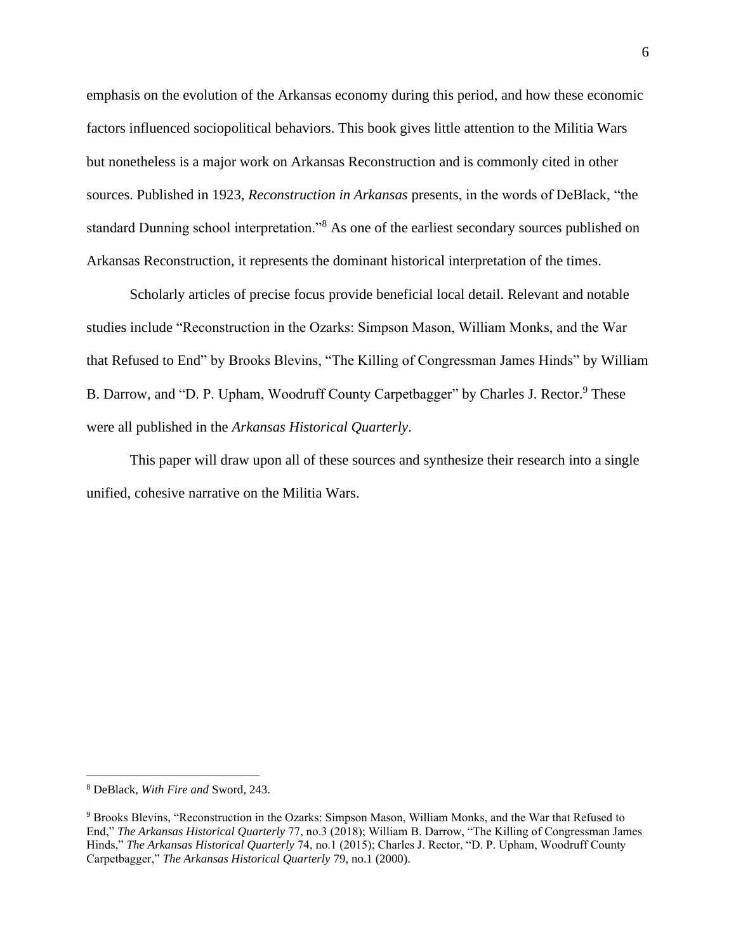emphasis on the evolution of the Arkansas economy during this period, and how these economic factors influenced sociopolitical behaviors. This book gives little attention to the Militia Wars but nonetheless is a major work on Arkansas Reconstruction and is commonly cited in other sources. Published in 1923, *Reconstruction in Arkansas* presents, in the words of DeBlack, "the standard Dunning school interpretation."<sup>8</sup> As one of the earliest secondary sources published on Arkansas Reconstruction, it represents the dominant historical interpretation of the times.

Scholarly articles of precise focus provide beneficial local detail. Relevant and notable studies include "Reconstruction in the Ozarks: Simpson Mason, William Monks, and the War that Refused to End" by Brooks Blevins, "The Killing of Congressman James Hinds" by William B. Darrow, and "D. P. Upham, Woodruff County Carpetbagger" by Charles J. Rector.<sup>9</sup> These were all published in the *Arkansas Historical Quarterly*.

This paper will draw upon all of these sources and synthesize their research into a single unified, cohesive narrative on the Militia Wars.

<sup>8</sup> DeBlack, *With Fire and* Sword, 243.

<sup>9</sup> Brooks Blevins, "Reconstruction in the Ozarks: Simpson Mason, William Monks, and the War that Refused to End," *The Arkansas Historical Quarterly* 77, no.3 (2018); William B. Darrow, "The Killing of Congressman James Hinds," *The Arkansas Historical Quarterly* 74, no.1 (2015); Charles J. Rector, "D. P. Upham, Woodruff County Carpetbagger," *The Arkansas Historical Quarterly* 79, no.1 (2000).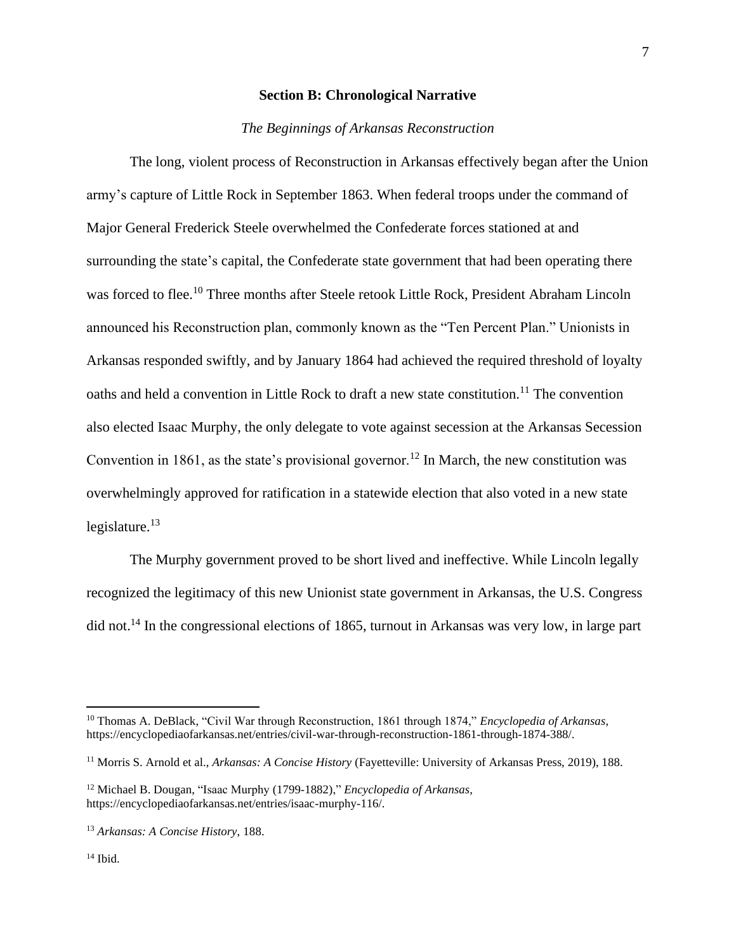## **Section B: Chronological Narrative**

## *The Beginnings of Arkansas Reconstruction*

The long, violent process of Reconstruction in Arkansas effectively began after the Union army's capture of Little Rock in September 1863. When federal troops under the command of Major General Frederick Steele overwhelmed the Confederate forces stationed at and surrounding the state's capital, the Confederate state government that had been operating there was forced to flee. <sup>10</sup> Three months after Steele retook Little Rock, President Abraham Lincoln announced his Reconstruction plan, commonly known as the "Ten Percent Plan." Unionists in Arkansas responded swiftly, and by January 1864 had achieved the required threshold of loyalty oaths and held a convention in Little Rock to draft a new state constitution.<sup>11</sup> The convention also elected Isaac Murphy, the only delegate to vote against secession at the Arkansas Secession Convention in 1861, as the state's provisional governor.<sup>12</sup> In March, the new constitution was overwhelmingly approved for ratification in a statewide election that also voted in a new state legislature. $13$ 

The Murphy government proved to be short lived and ineffective. While Lincoln legally recognized the legitimacy of this new Unionist state government in Arkansas, the U.S. Congress did not.<sup>14</sup> In the congressional elections of 1865, turnout in Arkansas was very low, in large part

<sup>10</sup> Thomas A. DeBlack, "Civil War through Reconstruction, 1861 through 1874," *Encyclopedia of Arkansas*, https://encyclopediaofarkansas.net/entries/civil-war-through-reconstruction-1861-through-1874-388/.

<sup>11</sup> Morris S. Arnold et al., *Arkansas: A Concise History* (Fayetteville: University of Arkansas Press, 2019), 188.

<sup>12</sup> Michael B. Dougan, "Isaac Murphy (1799-1882)," *Encyclopedia of Arkansas*, https://encyclopediaofarkansas.net/entries/isaac-murphy-116/.

<sup>13</sup> *Arkansas: A Concise History*, 188.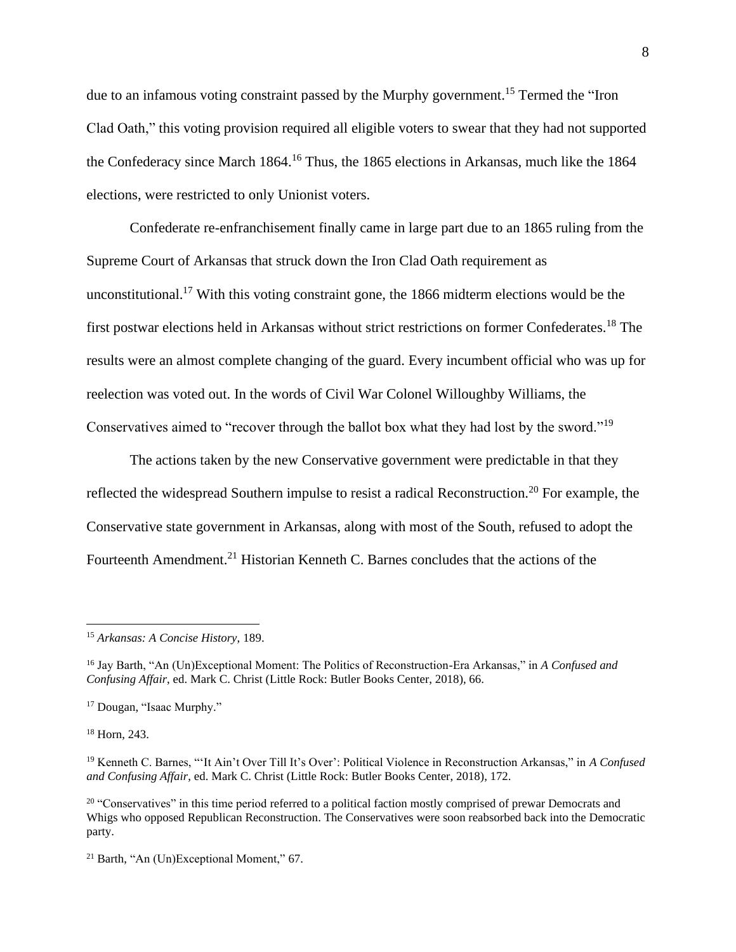due to an infamous voting constraint passed by the Murphy government.<sup>15</sup> Termed the "Iron" Clad Oath," this voting provision required all eligible voters to swear that they had not supported the Confederacy since March 1864.<sup>16</sup> Thus, the 1865 elections in Arkansas, much like the 1864 elections, were restricted to only Unionist voters.

Confederate re-enfranchisement finally came in large part due to an 1865 ruling from the Supreme Court of Arkansas that struck down the Iron Clad Oath requirement as unconstitutional.<sup>17</sup> With this voting constraint gone, the 1866 midterm elections would be the first postwar elections held in Arkansas without strict restrictions on former Confederates.<sup>18</sup> The results were an almost complete changing of the guard. Every incumbent official who was up for reelection was voted out. In the words of Civil War Colonel Willoughby Williams, the Conservatives aimed to "recover through the ballot box what they had lost by the sword."<sup>19</sup>

The actions taken by the new Conservative government were predictable in that they reflected the widespread Southern impulse to resist a radical Reconstruction.<sup>20</sup> For example, the Conservative state government in Arkansas, along with most of the South, refused to adopt the Fourteenth Amendment.<sup>21</sup> Historian Kenneth C. Barnes concludes that the actions of the

<sup>18</sup> Horn, 243.

<sup>15</sup> *Arkansas: A Concise History*, 189.

<sup>16</sup> Jay Barth, "An (Un)Exceptional Moment: The Politics of Reconstruction-Era Arkansas," in *A Confused and Confusing Affair*, ed. Mark C. Christ (Little Rock: Butler Books Center, 2018), 66.

<sup>17</sup> Dougan, "Isaac Murphy."

<sup>19</sup> Kenneth C. Barnes, "'It Ain't Over Till It's Over': Political Violence in Reconstruction Arkansas," in *A Confused and Confusing Affair*, ed. Mark C. Christ (Little Rock: Butler Books Center, 2018), 172.

<sup>&</sup>lt;sup>20</sup> "Conservatives" in this time period referred to a political faction mostly comprised of prewar Democrats and Whigs who opposed Republican Reconstruction. The Conservatives were soon reabsorbed back into the Democratic party.

<sup>21</sup> Barth, "An (Un)Exceptional Moment," 67.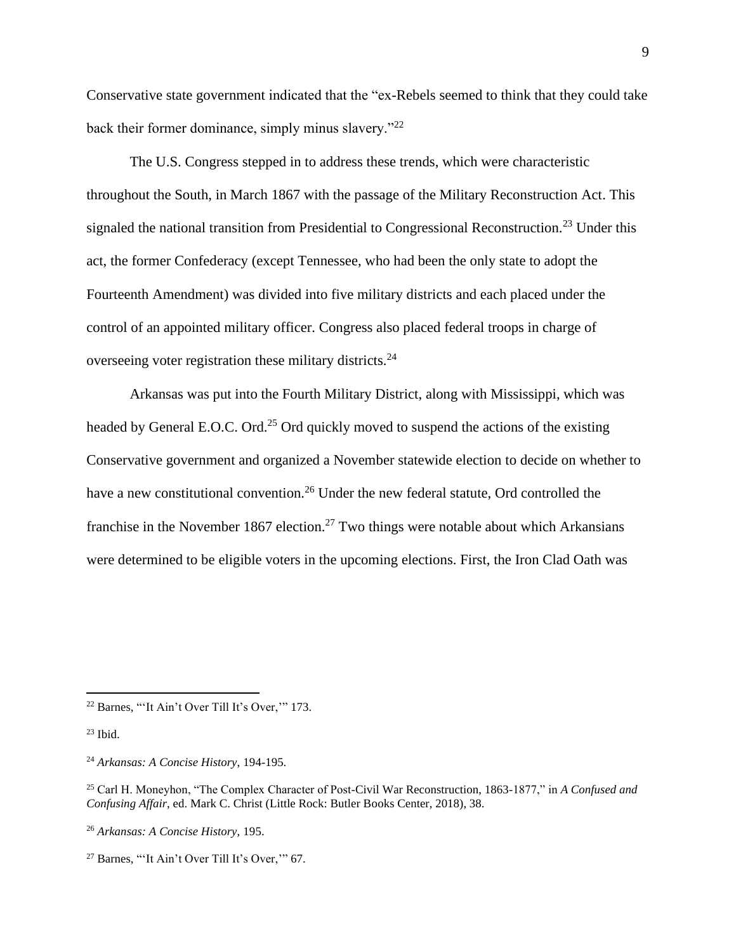Conservative state government indicated that the "ex-Rebels seemed to think that they could take back their former dominance, simply minus slavery."<sup>22</sup>

The U.S. Congress stepped in to address these trends, which were characteristic throughout the South, in March 1867 with the passage of the Military Reconstruction Act. This signaled the national transition from Presidential to Congressional Reconstruction.<sup>23</sup> Under this act, the former Confederacy (except Tennessee, who had been the only state to adopt the Fourteenth Amendment) was divided into five military districts and each placed under the control of an appointed military officer. Congress also placed federal troops in charge of overseeing voter registration these military districts.<sup>24</sup>

Arkansas was put into the Fourth Military District, along with Mississippi, which was headed by General E.O.C. Ord.<sup>25</sup> Ord quickly moved to suspend the actions of the existing Conservative government and organized a November statewide election to decide on whether to have a new constitutional convention.<sup>26</sup> Under the new federal statute, Ord controlled the franchise in the November 1867 election.<sup>27</sup> Two things were notable about which Arkansians were determined to be eligible voters in the upcoming elections. First, the Iron Clad Oath was

<sup>22</sup> Barnes, "'It Ain't Over Till It's Over,'" 173.

 $23$  Ibid.

<sup>24</sup> *Arkansas: A Concise History*, 194-195.

<sup>25</sup> Carl H. Moneyhon, "The Complex Character of Post-Civil War Reconstruction, 1863-1877," in *A Confused and Confusing Affair*, ed. Mark C. Christ (Little Rock: Butler Books Center, 2018), 38.

<sup>26</sup> *Arkansas: A Concise History*, 195.

<sup>27</sup> Barnes, "'It Ain't Over Till It's Over,'" 67.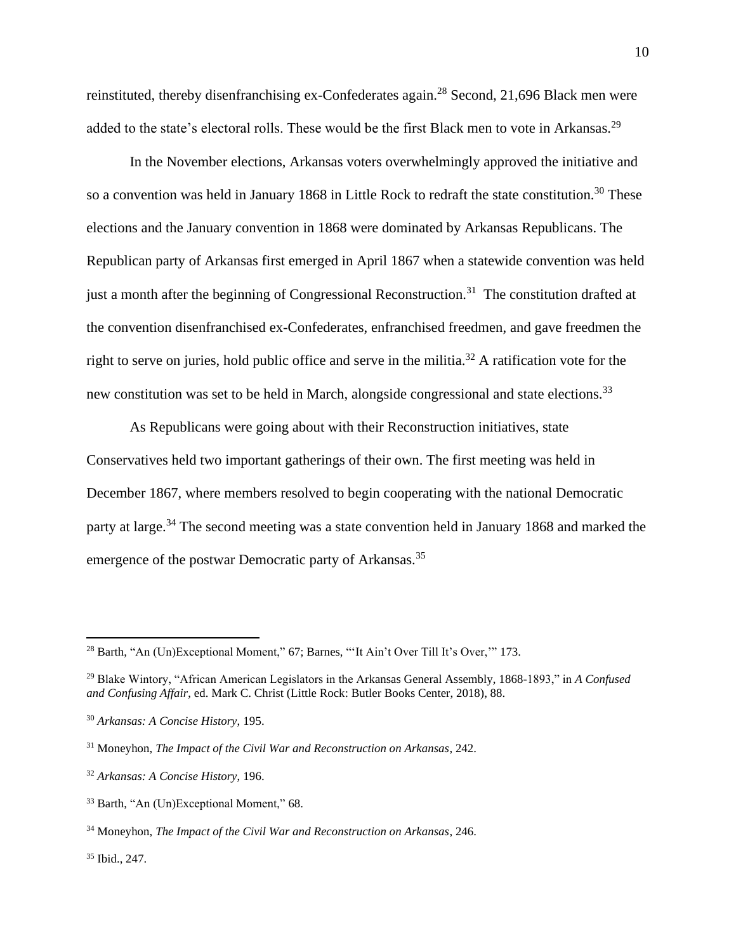reinstituted, thereby disenfranchising ex-Confederates again.<sup>28</sup> Second, 21,696 Black men were added to the state's electoral rolls. These would be the first Black men to vote in Arkansas.<sup>29</sup>

In the November elections, Arkansas voters overwhelmingly approved the initiative and so a convention was held in January 1868 in Little Rock to redraft the state constitution.<sup>30</sup> These elections and the January convention in 1868 were dominated by Arkansas Republicans. The Republican party of Arkansas first emerged in April 1867 when a statewide convention was held just a month after the beginning of Congressional Reconstruction.<sup>31</sup> The constitution drafted at the convention disenfranchised ex-Confederates, enfranchised freedmen, and gave freedmen the right to serve on juries, hold public office and serve in the militia.<sup>32</sup> A ratification vote for the new constitution was set to be held in March, alongside congressional and state elections.<sup>33</sup>

As Republicans were going about with their Reconstruction initiatives, state Conservatives held two important gatherings of their own. The first meeting was held in December 1867, where members resolved to begin cooperating with the national Democratic party at large.<sup>34</sup> The second meeting was a state convention held in January 1868 and marked the emergence of the postwar Democratic party of Arkansas.<sup>35</sup>

<sup>35</sup> Ibid., 247.

<sup>&</sup>lt;sup>28</sup> Barth, "An (Un)Exceptional Moment," 67; Barnes, "'It Ain't Over Till It's Over," 173.

<sup>29</sup> Blake Wintory, "African American Legislators in the Arkansas General Assembly, 1868-1893," in *A Confused and Confusing Affair*, ed. Mark C. Christ (Little Rock: Butler Books Center, 2018), 88.

<sup>30</sup> *Arkansas: A Concise History*, 195.

<sup>31</sup> Moneyhon, *The Impact of the Civil War and Reconstruction on Arkansas*, 242.

<sup>32</sup> *Arkansas: A Concise History*, 196.

<sup>33</sup> Barth, "An (Un)Exceptional Moment," 68.

<sup>34</sup> Moneyhon, *The Impact of the Civil War and Reconstruction on Arkansas*, 246.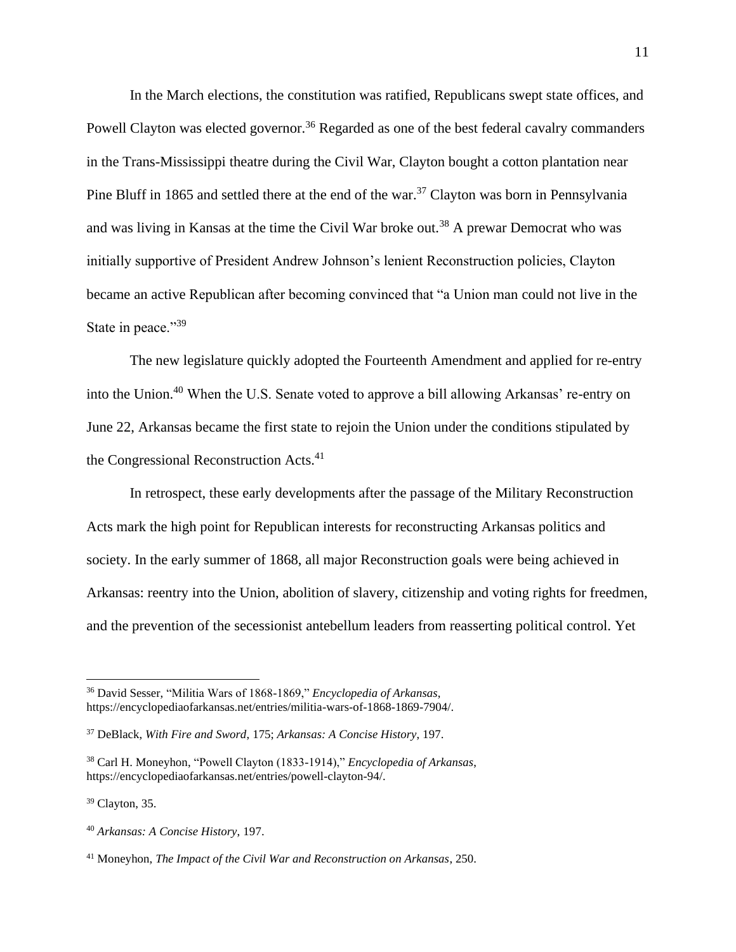In the March elections, the constitution was ratified, Republicans swept state offices, and Powell Clayton was elected governor.<sup>36</sup> Regarded as one of the best federal cavalry commanders in the Trans-Mississippi theatre during the Civil War, Clayton bought a cotton plantation near Pine Bluff in 1865 and settled there at the end of the war.<sup>37</sup> Clayton was born in Pennsylvania and was living in Kansas at the time the Civil War broke out.<sup>38</sup> A prewar Democrat who was initially supportive of President Andrew Johnson's lenient Reconstruction policies, Clayton became an active Republican after becoming convinced that "a Union man could not live in the State in peace."39

The new legislature quickly adopted the Fourteenth Amendment and applied for re-entry into the Union.<sup>40</sup> When the U.S. Senate voted to approve a bill allowing Arkansas' re-entry on June 22, Arkansas became the first state to rejoin the Union under the conditions stipulated by the Congressional Reconstruction Acts.<sup>41</sup>

In retrospect, these early developments after the passage of the Military Reconstruction Acts mark the high point for Republican interests for reconstructing Arkansas politics and society. In the early summer of 1868, all major Reconstruction goals were being achieved in Arkansas: reentry into the Union, abolition of slavery, citizenship and voting rights for freedmen, and the prevention of the secessionist antebellum leaders from reasserting political control. Yet

<sup>36</sup> David Sesser, "Militia Wars of 1868-1869," *Encyclopedia of Arkansas*, https://encyclopediaofarkansas.net/entries/militia-wars-of-1868-1869-7904/.

<sup>37</sup> DeBlack, *With Fire and Sword*, 175; *Arkansas: A Concise History*, 197.

<sup>38</sup> Carl H. Moneyhon, "Powell Clayton (1833-1914)," *Encyclopedia of Arkansas*, https://encyclopediaofarkansas.net/entries/powell-clayton-94/.

<sup>39</sup> Clayton, 35.

<sup>40</sup> *Arkansas: A Concise History*, 197.

<sup>41</sup> Moneyhon, *The Impact of the Civil War and Reconstruction on Arkansas*, 250.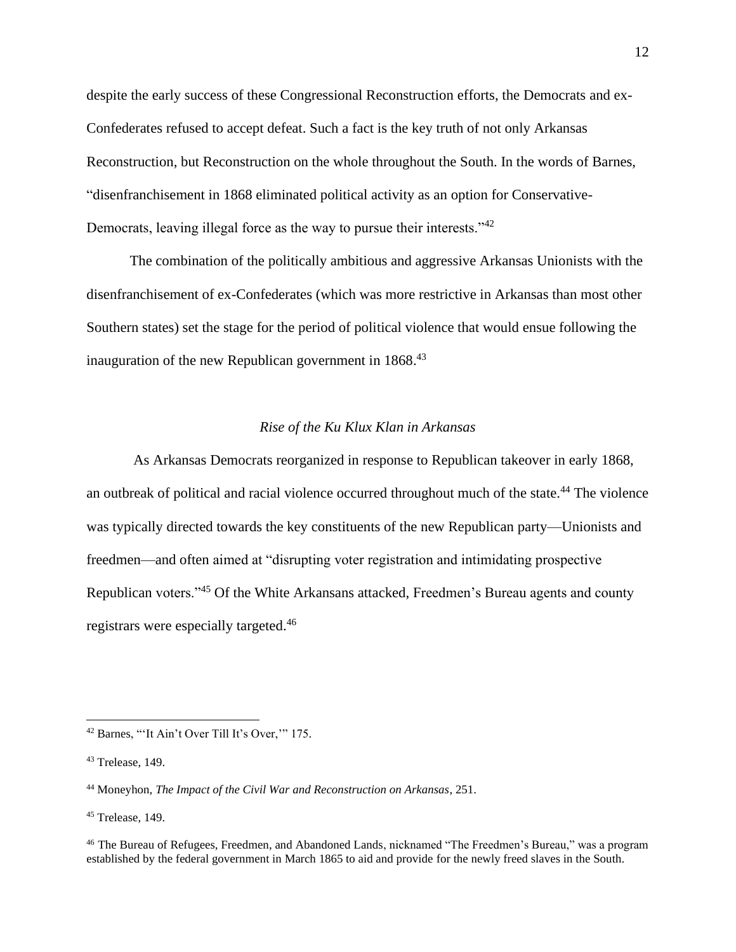despite the early success of these Congressional Reconstruction efforts, the Democrats and ex-Confederates refused to accept defeat. Such a fact is the key truth of not only Arkansas Reconstruction, but Reconstruction on the whole throughout the South. In the words of Barnes, "disenfranchisement in 1868 eliminated political activity as an option for Conservative-Democrats, leaving illegal force as the way to pursue their interests."<sup>42</sup>

The combination of the politically ambitious and aggressive Arkansas Unionists with the disenfranchisement of ex-Confederates (which was more restrictive in Arkansas than most other Southern states) set the stage for the period of political violence that would ensue following the inauguration of the new Republican government in 1868.<sup>43</sup>

# *Rise of the Ku Klux Klan in Arkansas*

As Arkansas Democrats reorganized in response to Republican takeover in early 1868, an outbreak of political and racial violence occurred throughout much of the state.<sup>44</sup> The violence was typically directed towards the key constituents of the new Republican party—Unionists and freedmen—and often aimed at "disrupting voter registration and intimidating prospective Republican voters."<sup>45</sup> Of the White Arkansans attacked, Freedmen's Bureau agents and county registrars were especially targeted.<sup>46</sup>

<sup>42</sup> Barnes, "'It Ain't Over Till It's Over,'" 175.

<sup>43</sup> Trelease, 149.

<sup>44</sup> Moneyhon, *The Impact of the Civil War and Reconstruction on Arkansas*, 251.

 $45$  Trelease, 149.

<sup>46</sup> The Bureau of Refugees, Freedmen, and Abandoned Lands, nicknamed "The Freedmen's Bureau," was a program established by the federal government in March 1865 to aid and provide for the newly freed slaves in the South.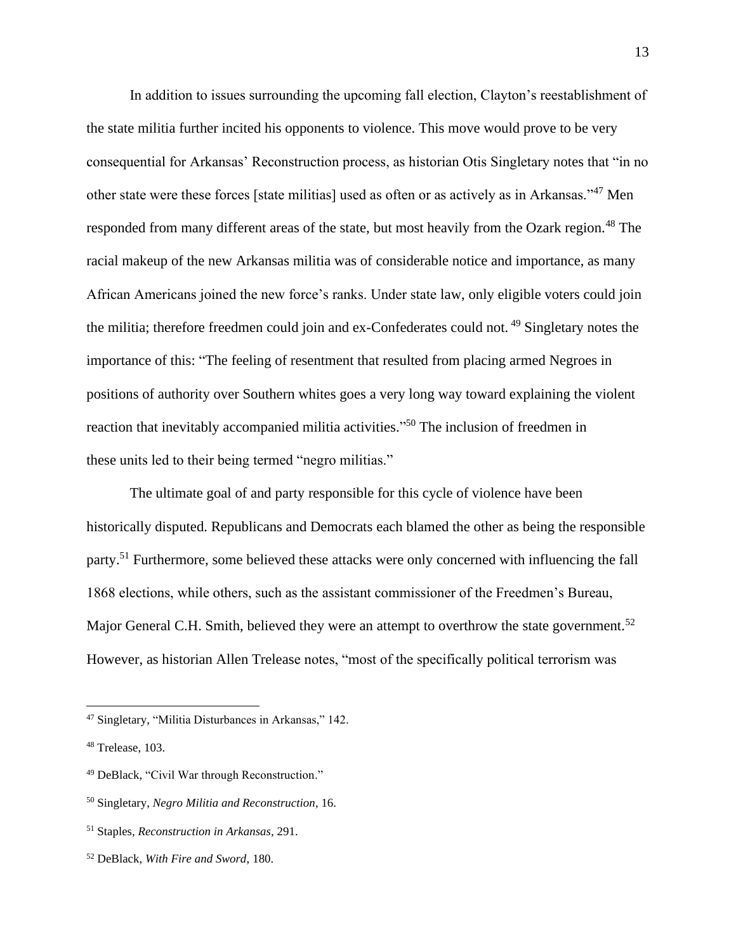In addition to issues surrounding the upcoming fall election, Clayton's reestablishment of the state militia further incited his opponents to violence. This move would prove to be very consequential for Arkansas' Reconstruction process, as historian Otis Singletary notes that "in no other state were these forces [state militias] used as often or as actively as in Arkansas."<sup>47</sup> Men responded from many different areas of the state, but most heavily from the Ozark region.<sup>48</sup> The racial makeup of the new Arkansas militia was of considerable notice and importance, as many African Americans joined the new force's ranks. Under state law, only eligible voters could join the militia; therefore freedmen could join and ex-Confederates could not. <sup>49</sup> Singletary notes the importance of this: "The feeling of resentment that resulted from placing armed Negroes in positions of authority over Southern whites goes a very long way toward explaining the violent reaction that inevitably accompanied militia activities."<sup>50</sup> The inclusion of freedmen in these units led to their being termed "negro militias."

The ultimate goal of and party responsible for this cycle of violence have been historically disputed. Republicans and Democrats each blamed the other as being the responsible party.<sup>51</sup> Furthermore, some believed these attacks were only concerned with influencing the fall 1868 elections, while others, such as the assistant commissioner of the Freedmen's Bureau, Major General C.H. Smith, believed they were an attempt to overthrow the state government.<sup>52</sup> However, as historian Allen Trelease notes, "most of the specifically political terrorism was

<sup>47</sup> Singletary, "Militia Disturbances in Arkansas," 142.

<sup>48</sup> Trelease, 103.

<sup>49</sup> DeBlack, "Civil War through Reconstruction."

<sup>50</sup> Singletary, *Negro Militia and Reconstruction*, 16.

<sup>51</sup> Staples, *Reconstruction in Arkansas*, 291.

<sup>52</sup> DeBlack, *With Fire and Sword*, 180.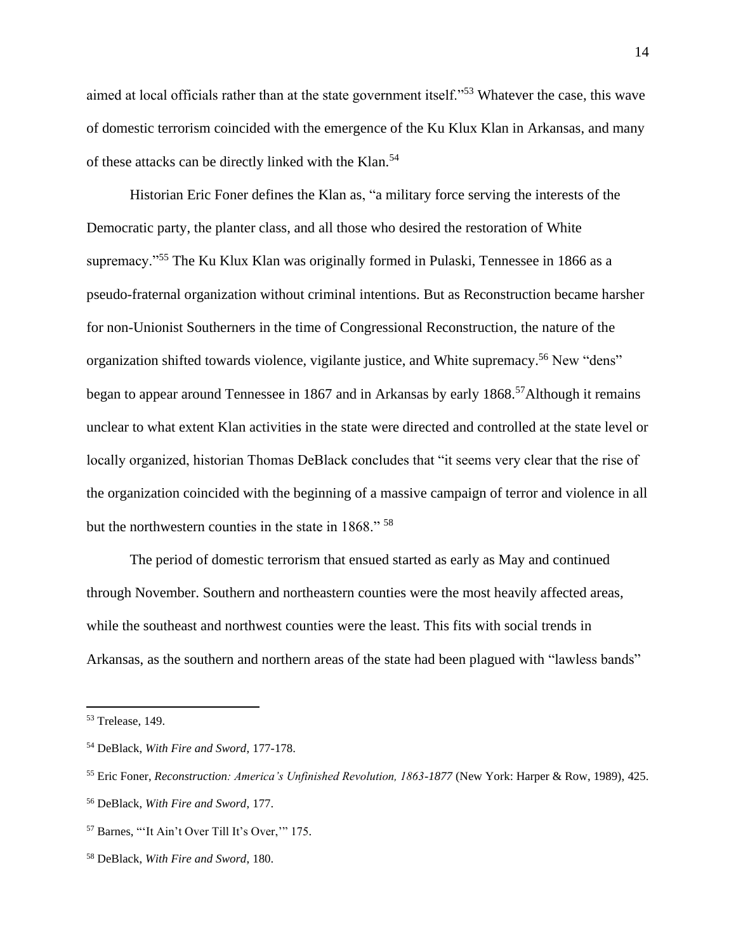aimed at local officials rather than at the state government itself."<sup>53</sup> Whatever the case, this wave of domestic terrorism coincided with the emergence of the Ku Klux Klan in Arkansas, and many of these attacks can be directly linked with the Klan.<sup>54</sup>

Historian Eric Foner defines the Klan as, "a military force serving the interests of the Democratic party, the planter class, and all those who desired the restoration of White supremacy."<sup>55</sup> The Ku Klux Klan was originally formed in Pulaski, Tennessee in 1866 as a pseudo-fraternal organization without criminal intentions. But as Reconstruction became harsher for non-Unionist Southerners in the time of Congressional Reconstruction, the nature of the organization shifted towards violence, vigilante justice, and White supremacy.<sup>56</sup> New "dens" began to appear around Tennessee in 1867 and in Arkansas by early 1868.<sup>57</sup>Although it remains unclear to what extent Klan activities in the state were directed and controlled at the state level or locally organized, historian Thomas DeBlack concludes that "it seems very clear that the rise of the organization coincided with the beginning of a massive campaign of terror and violence in all but the northwestern counties in the state in 1868." <sup>58</sup>

The period of domestic terrorism that ensued started as early as May and continued through November. Southern and northeastern counties were the most heavily affected areas, while the southeast and northwest counties were the least. This fits with social trends in Arkansas, as the southern and northern areas of the state had been plagued with "lawless bands"

<sup>53</sup> Trelease, 149.

<sup>54</sup> DeBlack, *With Fire and Sword*, 177-178.

<sup>55</sup> Eric Foner, *Reconstruction: America's Unfinished Revolution, 1863-1877* (New York: Harper & Row, 1989), 425. <sup>56</sup> DeBlack, *With Fire and Sword*, 177.

<sup>57</sup> Barnes, "'It Ain't Over Till It's Over,'" 175.

<sup>58</sup> DeBlack, *With Fire and Sword*, 180.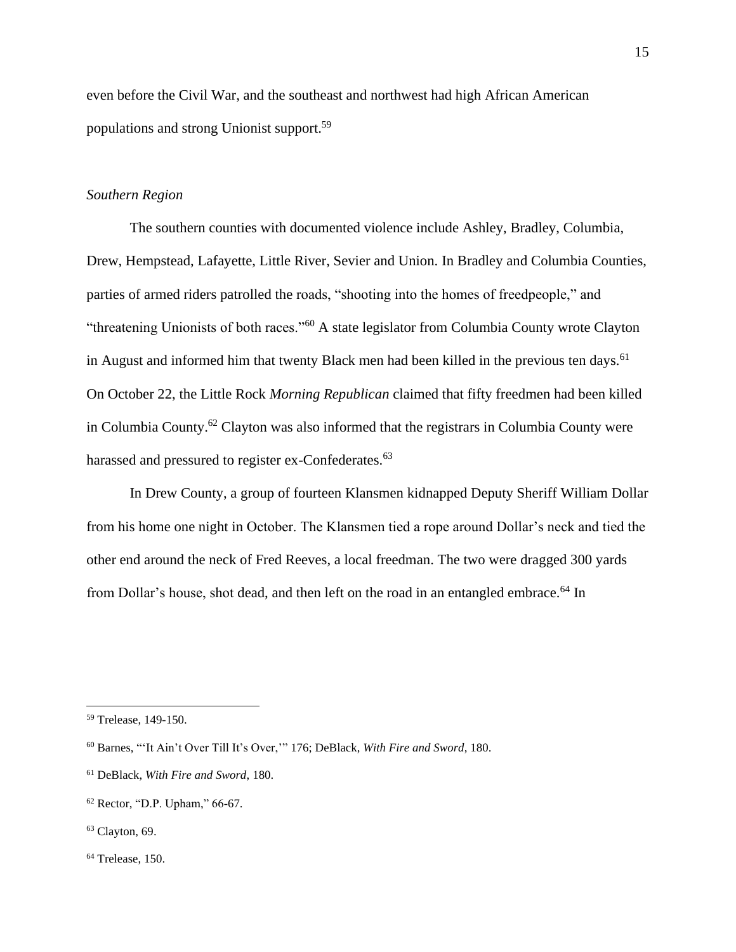even before the Civil War, and the southeast and northwest had high African American populations and strong Unionist support.<sup>59</sup>

# *Southern Region*

The southern counties with documented violence include Ashley, Bradley, Columbia, Drew, Hempstead, Lafayette, Little River, Sevier and Union. In Bradley and Columbia Counties, parties of armed riders patrolled the roads, "shooting into the homes of freedpeople," and "threatening Unionists of both races."<sup>60</sup> A state legislator from Columbia County wrote Clayton in August and informed him that twenty Black men had been killed in the previous ten days.<sup>61</sup> On October 22, the Little Rock *Morning Republican* claimed that fifty freedmen had been killed in Columbia County.<sup>62</sup> Clayton was also informed that the registrars in Columbia County were harassed and pressured to register ex-Confederates.<sup>63</sup>

In Drew County, a group of fourteen Klansmen kidnapped Deputy Sheriff William Dollar from his home one night in October. The Klansmen tied a rope around Dollar's neck and tied the other end around the neck of Fred Reeves, a local freedman. The two were dragged 300 yards from Dollar's house, shot dead, and then left on the road in an entangled embrace.<sup>64</sup> In

<sup>59</sup> Trelease, 149-150.

<sup>60</sup> Barnes, "'It Ain't Over Till It's Over,'" 176; DeBlack, *With Fire and Sword*, 180.

<sup>61</sup> DeBlack, *With Fire and Sword*, 180.

<sup>62</sup> Rector, "D.P. Upham," 66-67.

<sup>63</sup> Clayton, 69.

<sup>64</sup> Trelease, 150.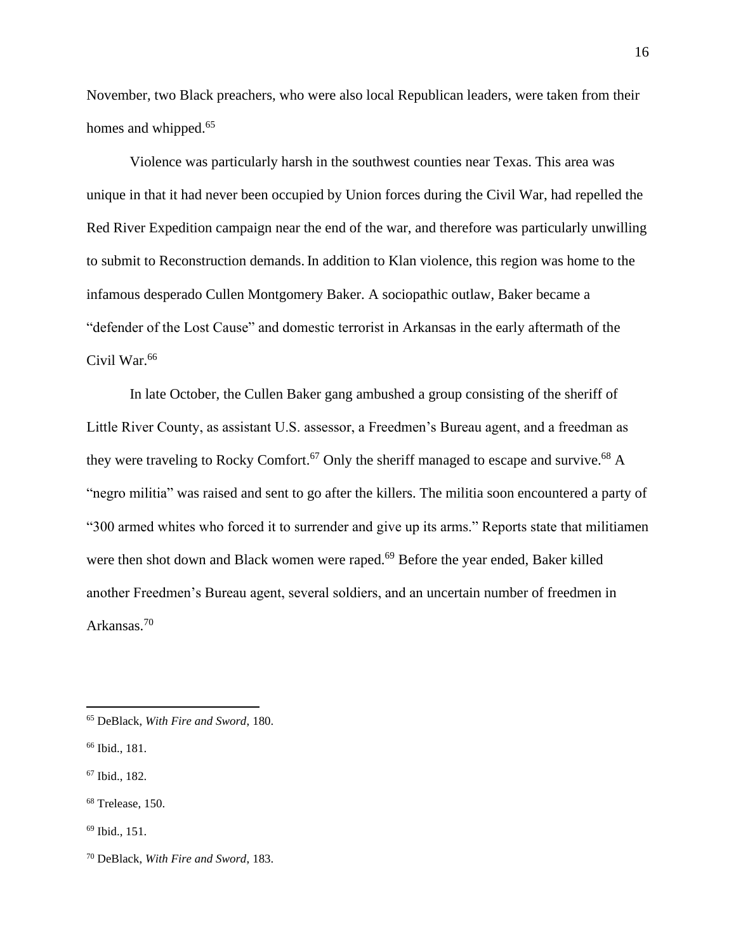November, two Black preachers, who were also local Republican leaders, were taken from their homes and whipped.<sup>65</sup>

Violence was particularly harsh in the southwest counties near Texas. This area was unique in that it had never been occupied by Union forces during the Civil War, had repelled the Red River Expedition campaign near the end of the war, and therefore was particularly unwilling to submit to Reconstruction demands. In addition to Klan violence, this region was home to the infamous desperado Cullen Montgomery Baker. A sociopathic outlaw, Baker became a "defender of the Lost Cause" and domestic terrorist in Arkansas in the early aftermath of the Civil War.<sup>66</sup>

In late October, the Cullen Baker gang ambushed a group consisting of the sheriff of Little River County, as assistant U.S. assessor, a Freedmen's Bureau agent, and a freedman as they were traveling to Rocky Comfort.<sup>67</sup> Only the sheriff managed to escape and survive.<sup>68</sup> A "negro militia" was raised and sent to go after the killers. The militia soon encountered a party of "300 armed whites who forced it to surrender and give up its arms." Reports state that militiamen were then shot down and Black women were raped.<sup>69</sup> Before the year ended, Baker killed another Freedmen's Bureau agent, several soldiers, and an uncertain number of freedmen in Arkansas.<sup>70</sup>

<sup>65</sup> DeBlack, *With Fire and Sword*, 180.

<sup>66</sup> Ibid., 181.

<sup>67</sup> Ibid., 182.

<sup>68</sup> Trelease, 150.

<sup>69</sup> Ibid., 151.

<sup>70</sup> DeBlack, *With Fire and Sword*, 183.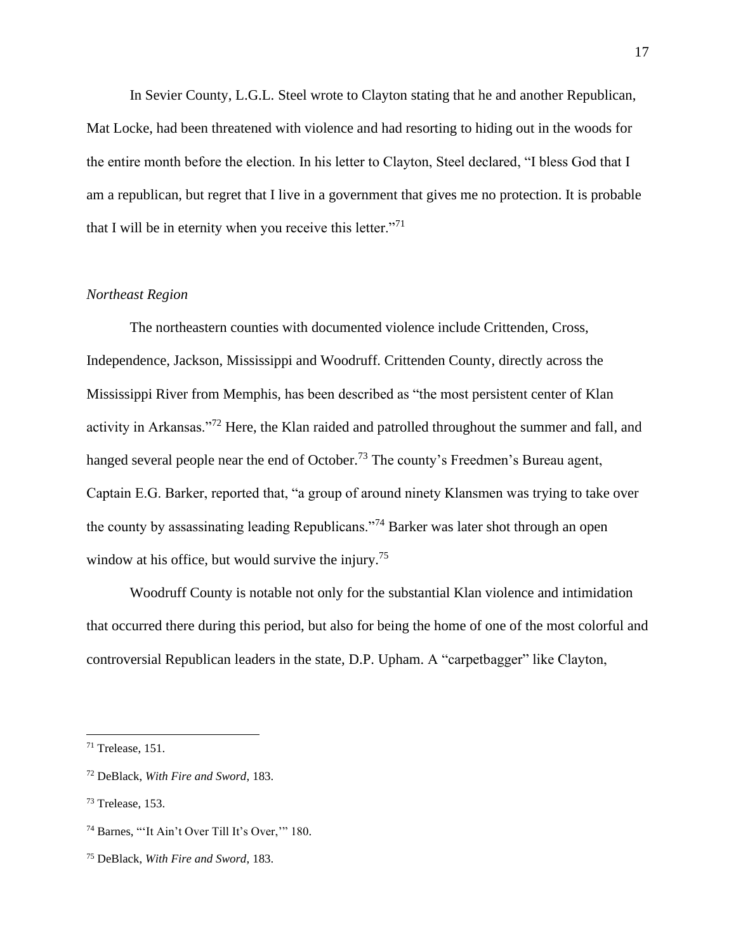In Sevier County, L.G.L. Steel wrote to Clayton stating that he and another Republican, Mat Locke, had been threatened with violence and had resorting to hiding out in the woods for the entire month before the election. In his letter to Clayton, Steel declared, "I bless God that I am a republican, but regret that I live in a government that gives me no protection. It is probable that I will be in eternity when you receive this letter. $"^{71}$ 

# *Northeast Region*

The northeastern counties with documented violence include Crittenden, Cross, Independence, Jackson, Mississippi and Woodruff. Crittenden County, directly across the Mississippi River from Memphis, has been described as "the most persistent center of Klan activity in Arkansas."<sup>72</sup> Here, the Klan raided and patrolled throughout the summer and fall, and hanged several people near the end of October.<sup>73</sup> The county's Freedmen's Bureau agent, Captain E.G. Barker, reported that, "a group of around ninety Klansmen was trying to take over the county by assassinating leading Republicans."<sup>74</sup> Barker was later shot through an open window at his office, but would survive the injury.<sup>75</sup>

Woodruff County is notable not only for the substantial Klan violence and intimidation that occurred there during this period, but also for being the home of one of the most colorful and controversial Republican leaders in the state, D.P. Upham. A "carpetbagger" like Clayton,

17

<sup>71</sup> Trelease, 151.

<sup>72</sup> DeBlack, *With Fire and Sword*, 183.

<sup>73</sup> Trelease, 153.

<sup>74</sup> Barnes, "'It Ain't Over Till It's Over,'" 180.

<sup>75</sup> DeBlack, *With Fire and Sword*, 183.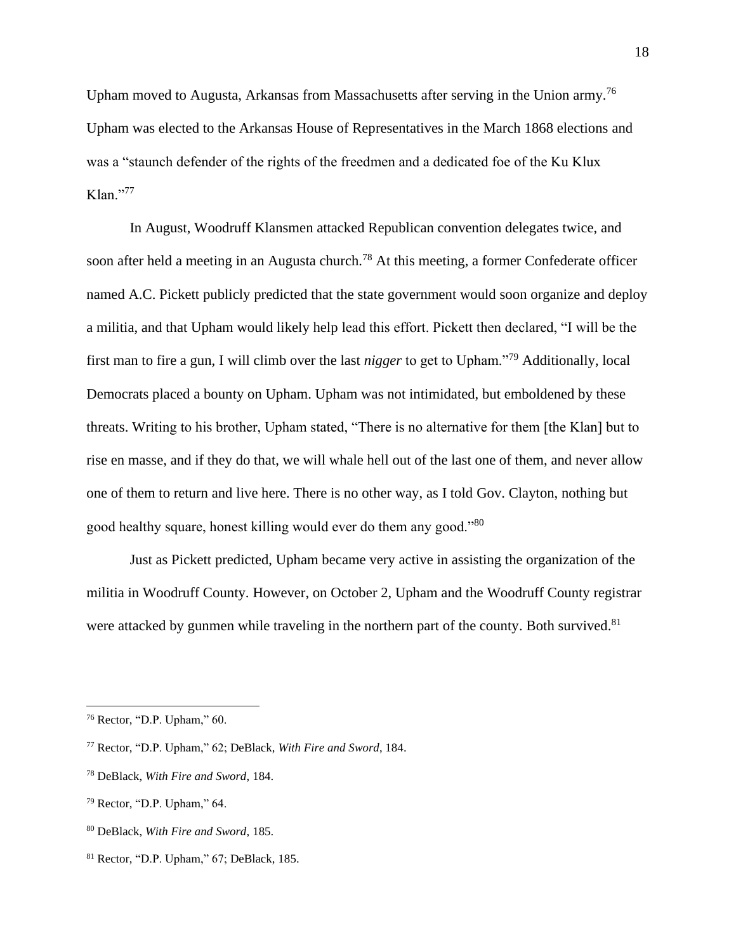Upham moved to Augusta, Arkansas from Massachusetts after serving in the Union army.<sup>76</sup> Upham was elected to the Arkansas House of Representatives in the March 1868 elections and was a "staunch defender of the rights of the freedmen and a dedicated foe of the Ku Klux  $K$ lan."<sup>77</sup>

In August, Woodruff Klansmen attacked Republican convention delegates twice, and soon after held a meeting in an Augusta church.<sup>78</sup> At this meeting, a former Confederate officer named A.C. Pickett publicly predicted that the state government would soon organize and deploy a militia, and that Upham would likely help lead this effort. Pickett then declared, "I will be the first man to fire a gun, I will climb over the last *nigger* to get to Upham."<sup>79</sup> Additionally, local Democrats placed a bounty on Upham. Upham was not intimidated, but emboldened by these threats. Writing to his brother, Upham stated, "There is no alternative for them [the Klan] but to rise en masse, and if they do that, we will whale hell out of the last one of them, and never allow one of them to return and live here. There is no other way, as I told Gov. Clayton, nothing but good healthy square, honest killing would ever do them any good."<sup>80</sup>

Just as Pickett predicted, Upham became very active in assisting the organization of the militia in Woodruff County. However, on October 2, Upham and the Woodruff County registrar were attacked by gunmen while traveling in the northern part of the county. Both survived. $81$ 

<sup>76</sup> Rector, "D.P. Upham," 60.

<sup>77</sup> Rector, "D.P. Upham," 62; DeBlack, *With Fire and Sword*, 184.

<sup>78</sup> DeBlack, *With Fire and Sword*, 184.

<sup>79</sup> Rector, "D.P. Upham," 64.

<sup>80</sup> DeBlack, *With Fire and Sword*, 185.

<sup>81</sup> Rector, "D.P. Upham," 67; DeBlack, 185.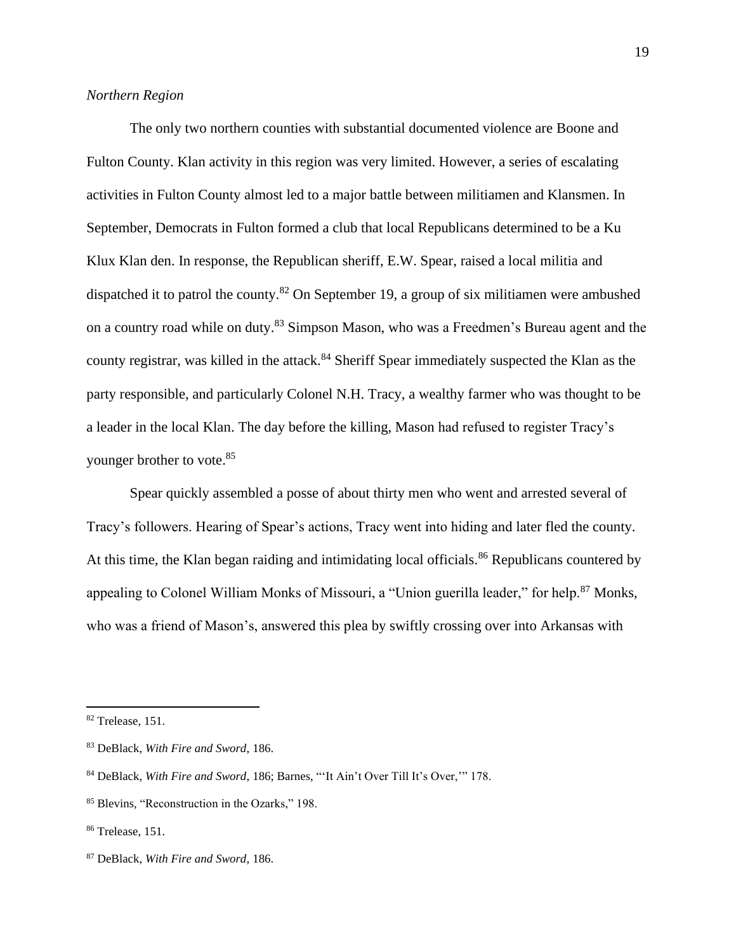# *Northern Region*

The only two northern counties with substantial documented violence are Boone and Fulton County. Klan activity in this region was very limited. However, a series of escalating activities in Fulton County almost led to a major battle between militiamen and Klansmen. In September, Democrats in Fulton formed a club that local Republicans determined to be a Ku Klux Klan den. In response, the Republican sheriff, E.W. Spear, raised a local militia and dispatched it to patrol the county.<sup>82</sup> On September 19, a group of six militiamen were ambushed on a country road while on duty.<sup>83</sup> Simpson Mason, who was a Freedmen's Bureau agent and the county registrar, was killed in the attack.<sup>84</sup> Sheriff Spear immediately suspected the Klan as the party responsible, and particularly Colonel N.H. Tracy, a wealthy farmer who was thought to be a leader in the local Klan. The day before the killing, Mason had refused to register Tracy's younger brother to vote.<sup>85</sup>

Spear quickly assembled a posse of about thirty men who went and arrested several of Tracy's followers. Hearing of Spear's actions, Tracy went into hiding and later fled the county. At this time, the Klan began raiding and intimidating local officials.<sup>86</sup> Republicans countered by appealing to Colonel William Monks of Missouri, a "Union guerilla leader," for help.<sup>87</sup> Monks, who was a friend of Mason's, answered this plea by swiftly crossing over into Arkansas with

<sup>&</sup>lt;sup>82</sup> Trelease, 151.

<sup>83</sup> DeBlack, *With Fire and Sword*, 186.

<sup>84</sup> DeBlack, *With Fire and Sword*, 186; Barnes, "'It Ain't Over Till It's Over,'" 178.

<sup>85</sup> Blevins, "Reconstruction in the Ozarks," 198.

<sup>86</sup> Trelease, 151.

<sup>87</sup> DeBlack, *With Fire and Sword*, 186.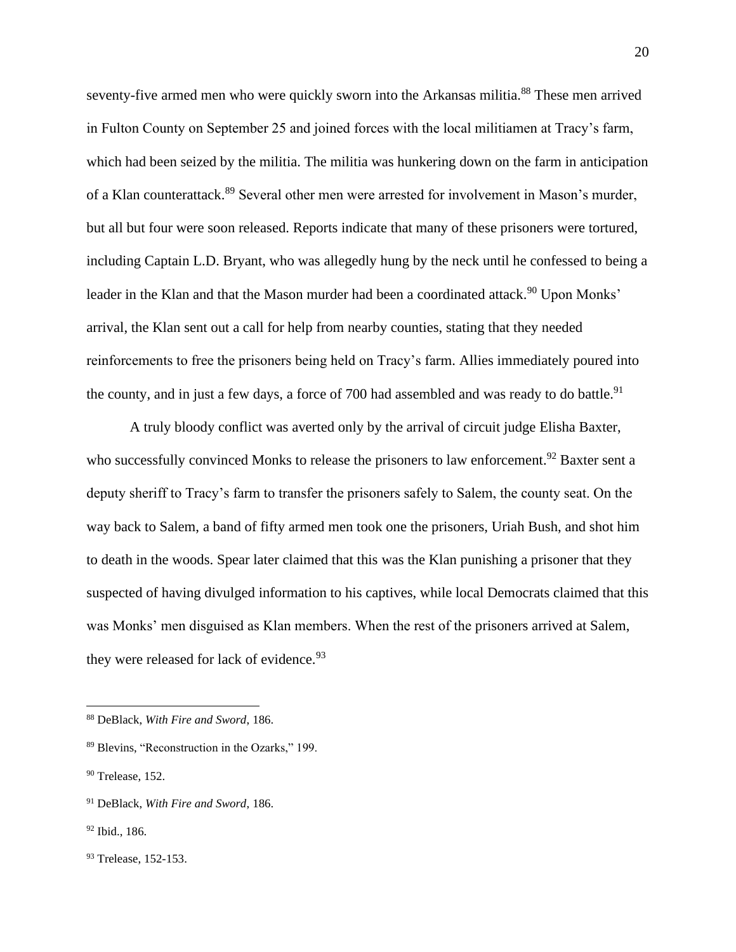seventy-five armed men who were quickly sworn into the Arkansas militia.<sup>88</sup> These men arrived in Fulton County on September 25 and joined forces with the local militiamen at Tracy's farm, which had been seized by the militia. The militia was hunkering down on the farm in anticipation of a Klan counterattack.<sup>89</sup> Several other men were arrested for involvement in Mason's murder, but all but four were soon released. Reports indicate that many of these prisoners were tortured, including Captain L.D. Bryant, who was allegedly hung by the neck until he confessed to being a leader in the Klan and that the Mason murder had been a coordinated attack.<sup>90</sup> Upon Monks' arrival, the Klan sent out a call for help from nearby counties, stating that they needed reinforcements to free the prisoners being held on Tracy's farm. Allies immediately poured into the county, and in just a few days, a force of 700 had assembled and was ready to do battle.<sup>91</sup>

A truly bloody conflict was averted only by the arrival of circuit judge Elisha Baxter, who successfully convinced Monks to release the prisoners to law enforcement.<sup>92</sup> Baxter sent a deputy sheriff to Tracy's farm to transfer the prisoners safely to Salem, the county seat. On the way back to Salem, a band of fifty armed men took one the prisoners, Uriah Bush, and shot him to death in the woods. Spear later claimed that this was the Klan punishing a prisoner that they suspected of having divulged information to his captives, while local Democrats claimed that this was Monks' men disguised as Klan members. When the rest of the prisoners arrived at Salem, they were released for lack of evidence.  $93$ 

<sup>88</sup> DeBlack, *With Fire and Sword*, 186.

<sup>89</sup> Blevins, "Reconstruction in the Ozarks," 199.

 $90$  Trelease, 152.

<sup>91</sup> DeBlack, *With Fire and Sword*, 186.

<sup>92</sup> Ibid., 186.

<sup>93</sup> Trelease, 152-153.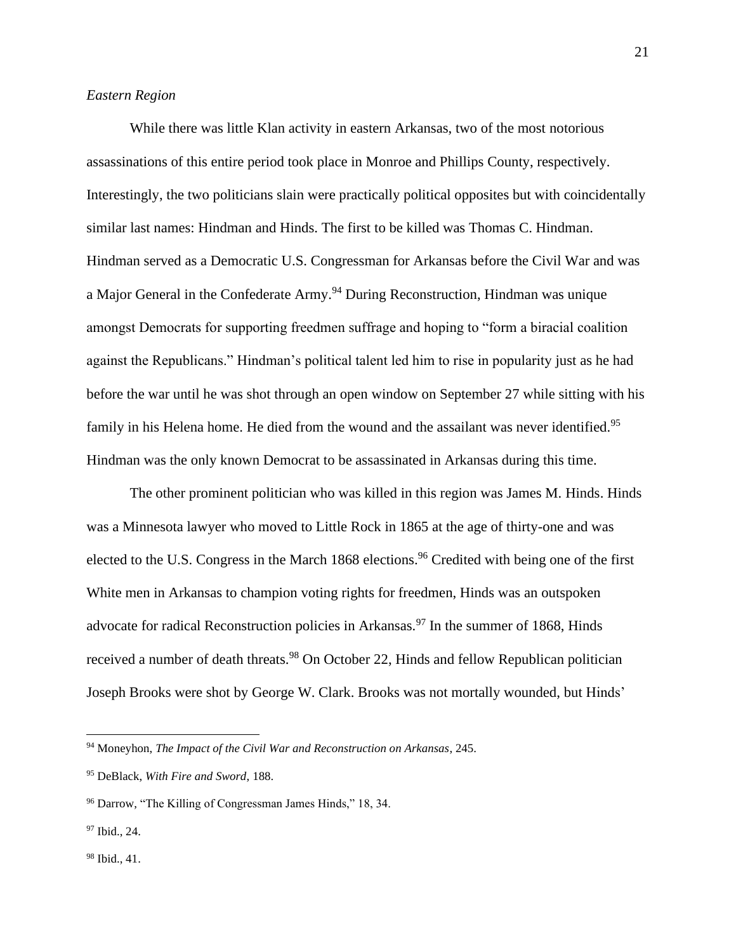# *Eastern Region*

While there was little Klan activity in eastern Arkansas, two of the most notorious assassinations of this entire period took place in Monroe and Phillips County, respectively. Interestingly, the two politicians slain were practically political opposites but with coincidentally similar last names: Hindman and Hinds. The first to be killed was Thomas C. Hindman. Hindman served as a Democratic U.S. Congressman for Arkansas before the Civil War and was a Major General in the Confederate Army.<sup>94</sup> During Reconstruction, Hindman was unique amongst Democrats for supporting freedmen suffrage and hoping to "form a biracial coalition against the Republicans." Hindman's political talent led him to rise in popularity just as he had before the war until he was shot through an open window on September 27 while sitting with his family in his Helena home. He died from the wound and the assailant was never identified.<sup>95</sup> Hindman was the only known Democrat to be assassinated in Arkansas during this time.

The other prominent politician who was killed in this region was James M. Hinds. Hinds was a Minnesota lawyer who moved to Little Rock in 1865 at the age of thirty-one and was elected to the U.S. Congress in the March 1868 elections.<sup>96</sup> Credited with being one of the first White men in Arkansas to champion voting rights for freedmen, Hinds was an outspoken advocate for radical Reconstruction policies in Arkansas.<sup>97</sup> In the summer of 1868, Hinds received a number of death threats.<sup>98</sup> On October 22, Hinds and fellow Republican politician Joseph Brooks were shot by George W. Clark. Brooks was not mortally wounded, but Hinds'

<sup>94</sup> Moneyhon, *The Impact of the Civil War and Reconstruction on Arkansas*, 245.

<sup>95</sup> DeBlack, *With Fire and Sword*, 188.

<sup>96</sup> Darrow, "The Killing of Congressman James Hinds," 18, 34.

<sup>97</sup> Ibid., 24.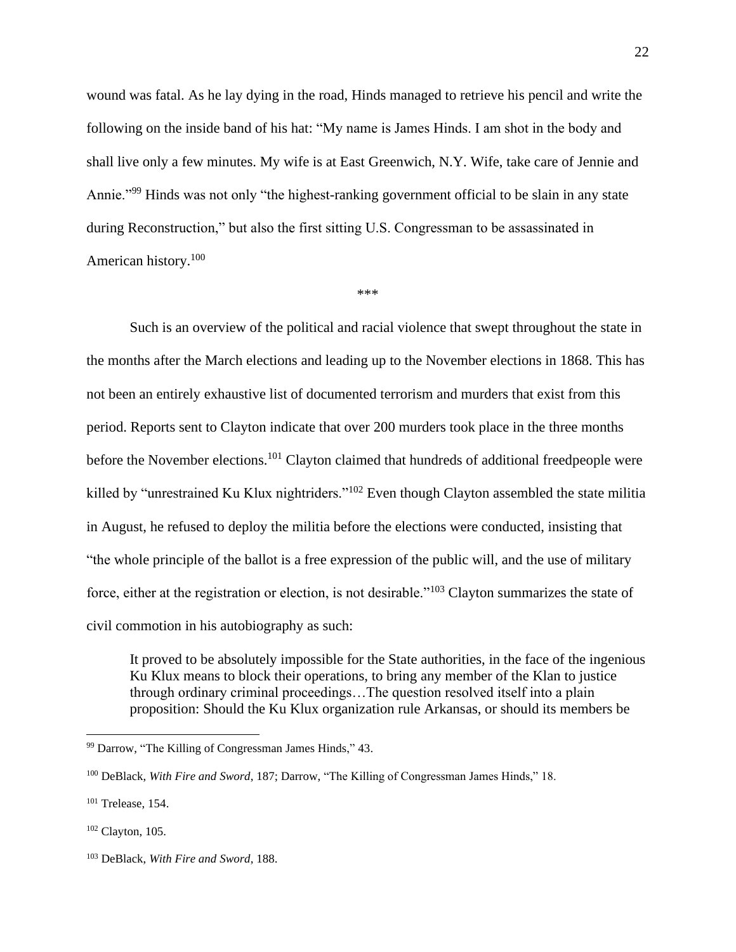wound was fatal. As he lay dying in the road, Hinds managed to retrieve his pencil and write the following on the inside band of his hat: "My name is James Hinds. I am shot in the body and shall live only a few minutes. My wife is at East Greenwich, N.Y. Wife, take care of Jennie and Annie."<sup>99</sup> Hinds was not only "the highest-ranking government official to be slain in any state during Reconstruction," but also the first sitting U.S. Congressman to be assassinated in American history.<sup>100</sup>

#### \*\*\*

Such is an overview of the political and racial violence that swept throughout the state in the months after the March elections and leading up to the November elections in 1868. This has not been an entirely exhaustive list of documented terrorism and murders that exist from this period. Reports sent to Clayton indicate that over 200 murders took place in the three months before the November elections.<sup>101</sup> Clayton claimed that hundreds of additional freedpeople were killed by "unrestrained Ku Klux nightriders."<sup>102</sup> Even though Clayton assembled the state militia in August, he refused to deploy the militia before the elections were conducted, insisting that "the whole principle of the ballot is a free expression of the public will, and the use of military force, either at the registration or election, is not desirable."<sup>103</sup> Clayton summarizes the state of civil commotion in his autobiography as such:

It proved to be absolutely impossible for the State authorities, in the face of the ingenious Ku Klux means to block their operations, to bring any member of the Klan to justice through ordinary criminal proceedings…The question resolved itself into a plain proposition: Should the Ku Klux organization rule Arkansas, or should its members be

<sup>99</sup> Darrow, "The Killing of Congressman James Hinds," 43.

<sup>100</sup> DeBlack, *With Fire and Sword*, 187; Darrow, "The Killing of Congressman James Hinds," 18.

<sup>101</sup> Trelease, 154.

 $102$  Clayton, 105.

<sup>103</sup> DeBlack, *With Fire and Sword*, 188.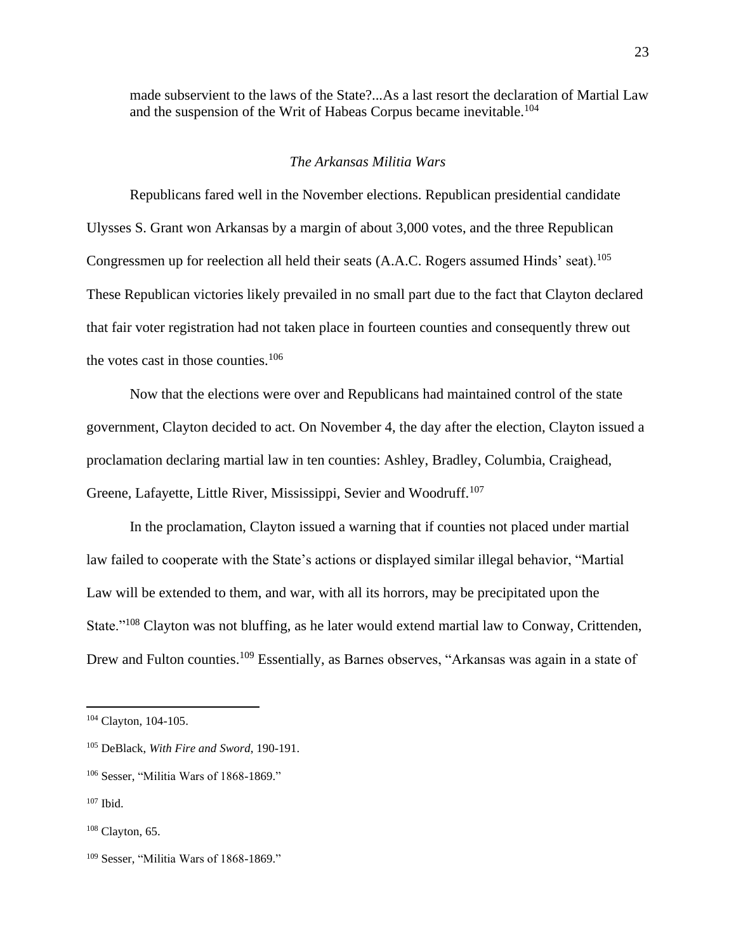made subservient to the laws of the State?...As a last resort the declaration of Martial Law and the suspension of the Writ of Habeas Corpus became inevitable.<sup>104</sup>

# *The Arkansas Militia Wars*

Republicans fared well in the November elections. Republican presidential candidate Ulysses S. Grant won Arkansas by a margin of about 3,000 votes, and the three Republican Congressmen up for reelection all held their seats (A.A.C. Rogers assumed Hinds' seat).<sup>105</sup> These Republican victories likely prevailed in no small part due to the fact that Clayton declared that fair voter registration had not taken place in fourteen counties and consequently threw out the votes cast in those counties. $106$ 

Now that the elections were over and Republicans had maintained control of the state government, Clayton decided to act. On November 4, the day after the election, Clayton issued a proclamation declaring martial law in ten counties: Ashley, Bradley, Columbia, Craighead, Greene, Lafayette, Little River, Mississippi, Sevier and Woodruff.<sup>107</sup>

In the proclamation, Clayton issued a warning that if counties not placed under martial law failed to cooperate with the State's actions or displayed similar illegal behavior, "Martial Law will be extended to them, and war, with all its horrors, may be precipitated upon the State."<sup>108</sup> Clayton was not bluffing, as he later would extend martial law to Conway, Crittenden, Drew and Fulton counties.<sup>109</sup> Essentially, as Barnes observes, "Arkansas was again in a state of

<sup>104</sup> Clayton, 104-105.

<sup>105</sup> DeBlack, *With Fire and Sword*, 190-191.

<sup>106</sup> Sesser, "Militia Wars of 1868-1869."

<sup>107</sup> Ibid.

 $108$  Clayton, 65.

<sup>109</sup> Sesser, "Militia Wars of 1868-1869."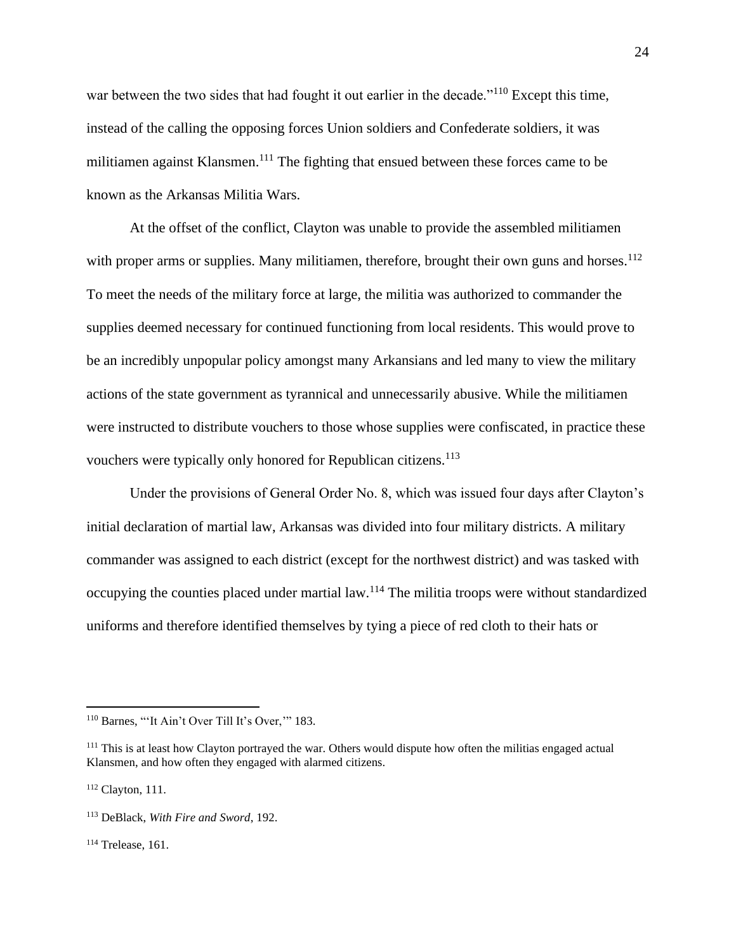war between the two sides that had fought it out earlier in the decade."<sup>110</sup> Except this time, instead of the calling the opposing forces Union soldiers and Confederate soldiers, it was militiamen against Klansmen.<sup>111</sup> The fighting that ensued between these forces came to be known as the Arkansas Militia Wars.

At the offset of the conflict, Clayton was unable to provide the assembled militiamen with proper arms or supplies. Many militiamen, therefore, brought their own guns and horses.<sup>112</sup> To meet the needs of the military force at large, the militia was authorized to commander the supplies deemed necessary for continued functioning from local residents. This would prove to be an incredibly unpopular policy amongst many Arkansians and led many to view the military actions of the state government as tyrannical and unnecessarily abusive. While the militiamen were instructed to distribute vouchers to those whose supplies were confiscated, in practice these vouchers were typically only honored for Republican citizens.<sup>113</sup>

Under the provisions of General Order No. 8, which was issued four days after Clayton's initial declaration of martial law, Arkansas was divided into four military districts. A military commander was assigned to each district (except for the northwest district) and was tasked with occupying the counties placed under martial law.<sup>114</sup> The militia troops were without standardized uniforms and therefore identified themselves by tying a piece of red cloth to their hats or

<sup>110</sup> Barnes, "'It Ain't Over Till It's Over,'" 183.

<sup>&</sup>lt;sup>111</sup> This is at least how Clayton portrayed the war. Others would dispute how often the militias engaged actual Klansmen, and how often they engaged with alarmed citizens.

<sup>112</sup> Clayton, 111.

<sup>113</sup> DeBlack, *With Fire and Sword*, 192.

 $114$  Trelease, 161.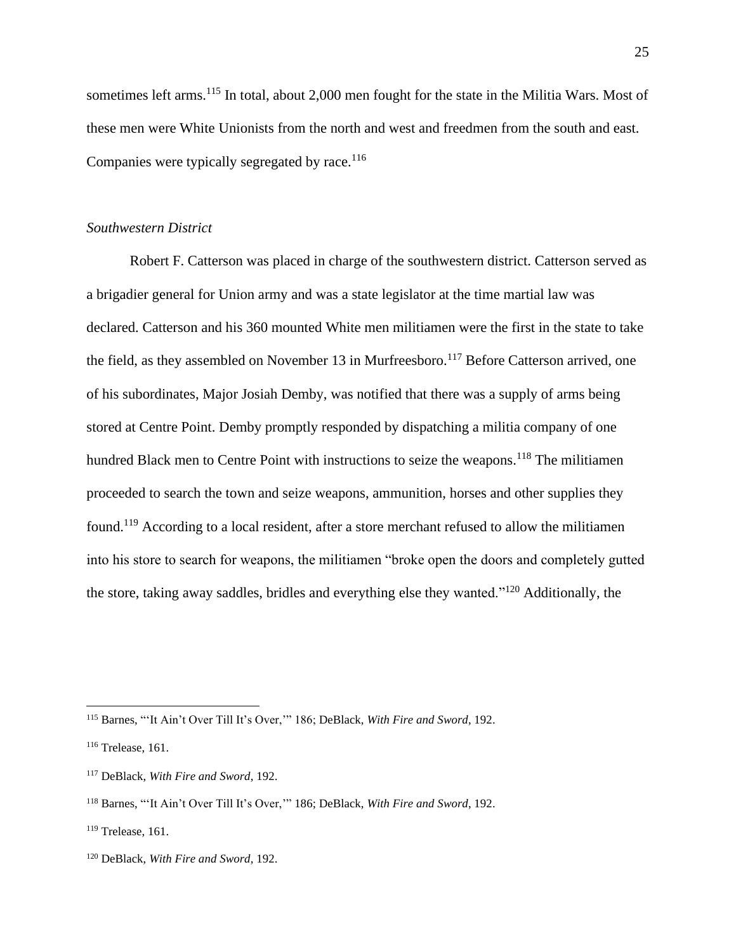sometimes left arms.<sup>115</sup> In total, about 2,000 men fought for the state in the Militia Wars. Most of these men were White Unionists from the north and west and freedmen from the south and east. Companies were typically segregated by race.<sup>116</sup>

## *Southwestern District*

Robert F. Catterson was placed in charge of the southwestern district. Catterson served as a brigadier general for Union army and was a state legislator at the time martial law was declared. Catterson and his 360 mounted White men militiamen were the first in the state to take the field, as they assembled on November 13 in Murfreesboro.<sup>117</sup> Before Catterson arrived, one of his subordinates, Major Josiah Demby, was notified that there was a supply of arms being stored at Centre Point. Demby promptly responded by dispatching a militia company of one hundred Black men to Centre Point with instructions to seize the weapons.<sup>118</sup> The militiamen proceeded to search the town and seize weapons, ammunition, horses and other supplies they found.<sup>119</sup> According to a local resident, after a store merchant refused to allow the militiamen into his store to search for weapons, the militiamen "broke open the doors and completely gutted the store, taking away saddles, bridles and everything else they wanted."<sup>120</sup> Additionally, the

<sup>115</sup> Barnes, "'It Ain't Over Till It's Over,'" 186; DeBlack, *With Fire and Sword*, 192.

<sup>116</sup> Trelease, 161.

<sup>117</sup> DeBlack, *With Fire and Sword*, 192.

<sup>118</sup> Barnes, "'It Ain't Over Till It's Over,'" 186; DeBlack, *With Fire and Sword*, 192.

 $119$  Trelease, 161.

<sup>120</sup> DeBlack, *With Fire and Sword*, 192.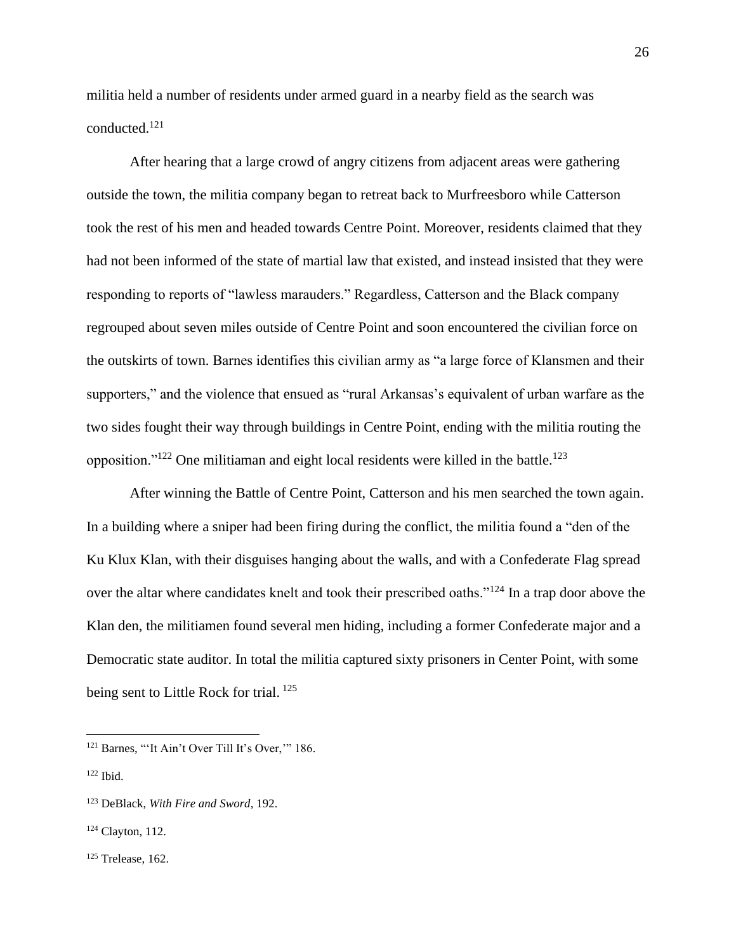militia held a number of residents under armed guard in a nearby field as the search was conducted.<sup>121</sup>

After hearing that a large crowd of angry citizens from adjacent areas were gathering outside the town, the militia company began to retreat back to Murfreesboro while Catterson took the rest of his men and headed towards Centre Point. Moreover, residents claimed that they had not been informed of the state of martial law that existed, and instead insisted that they were responding to reports of "lawless marauders." Regardless, Catterson and the Black company regrouped about seven miles outside of Centre Point and soon encountered the civilian force on the outskirts of town. Barnes identifies this civilian army as "a large force of Klansmen and their supporters," and the violence that ensued as "rural Arkansas's equivalent of urban warfare as the two sides fought their way through buildings in Centre Point, ending with the militia routing the opposition." $122$  One militiaman and eight local residents were killed in the battle.<sup>123</sup>

After winning the Battle of Centre Point, Catterson and his men searched the town again. In a building where a sniper had been firing during the conflict, the militia found a "den of the Ku Klux Klan, with their disguises hanging about the walls, and with a Confederate Flag spread over the altar where candidates knelt and took their prescribed oaths."<sup>124</sup> In a trap door above the Klan den, the militiamen found several men hiding, including a former Confederate major and a Democratic state auditor. In total the militia captured sixty prisoners in Center Point, with some being sent to Little Rock for trial.<sup>125</sup>

<sup>&</sup>lt;sup>121</sup> Barnes, "'It Ain't Over Till It's Over," 186.

 $122$  Ibid.

<sup>123</sup> DeBlack, *With Fire and Sword*, 192.

<sup>124</sup> Clayton, 112.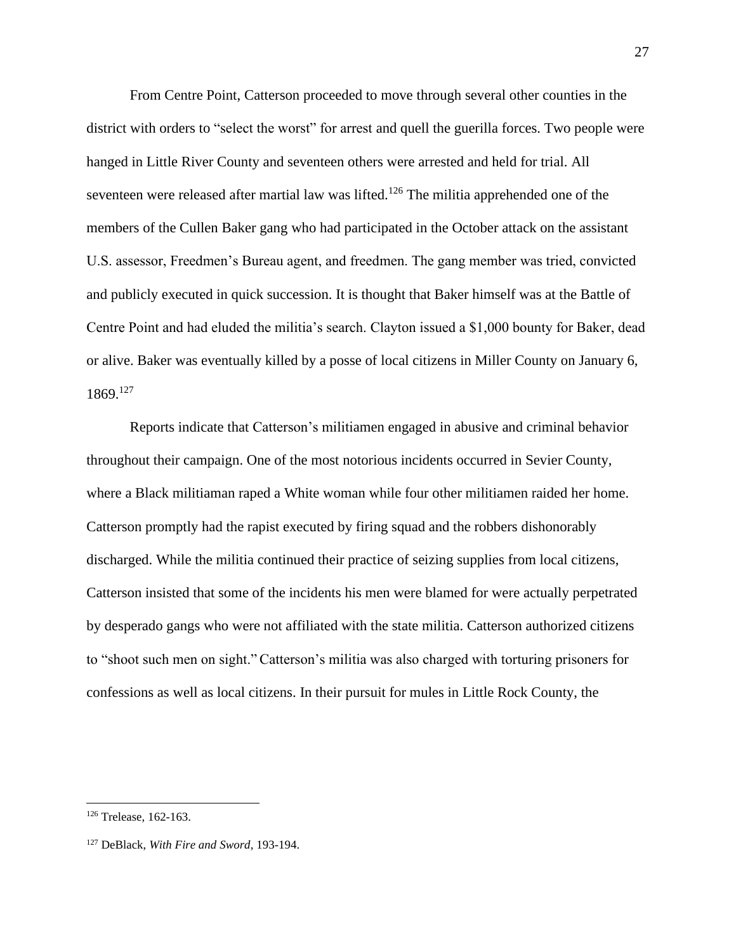From Centre Point, Catterson proceeded to move through several other counties in the district with orders to "select the worst" for arrest and quell the guerilla forces. Two people were hanged in Little River County and seventeen others were arrested and held for trial. All seventeen were released after martial law was lifted.<sup>126</sup> The militia apprehended one of the members of the Cullen Baker gang who had participated in the October attack on the assistant U.S. assessor, Freedmen's Bureau agent, and freedmen. The gang member was tried, convicted and publicly executed in quick succession. It is thought that Baker himself was at the Battle of Centre Point and had eluded the militia's search. Clayton issued a \$1,000 bounty for Baker, dead or alive. Baker was eventually killed by a posse of local citizens in Miller County on January 6, 1869.<sup>127</sup>

Reports indicate that Catterson's militiamen engaged in abusive and criminal behavior throughout their campaign. One of the most notorious incidents occurred in Sevier County, where a Black militiaman raped a White woman while four other militiamen raided her home. Catterson promptly had the rapist executed by firing squad and the robbers dishonorably discharged. While the militia continued their practice of seizing supplies from local citizens, Catterson insisted that some of the incidents his men were blamed for were actually perpetrated by desperado gangs who were not affiliated with the state militia. Catterson authorized citizens to "shoot such men on sight." Catterson's militia was also charged with torturing prisoners for confessions as well as local citizens. In their pursuit for mules in Little Rock County, the

<sup>126</sup> Trelease, 162-163.

<sup>127</sup> DeBlack, *With Fire and Sword*, 193-194.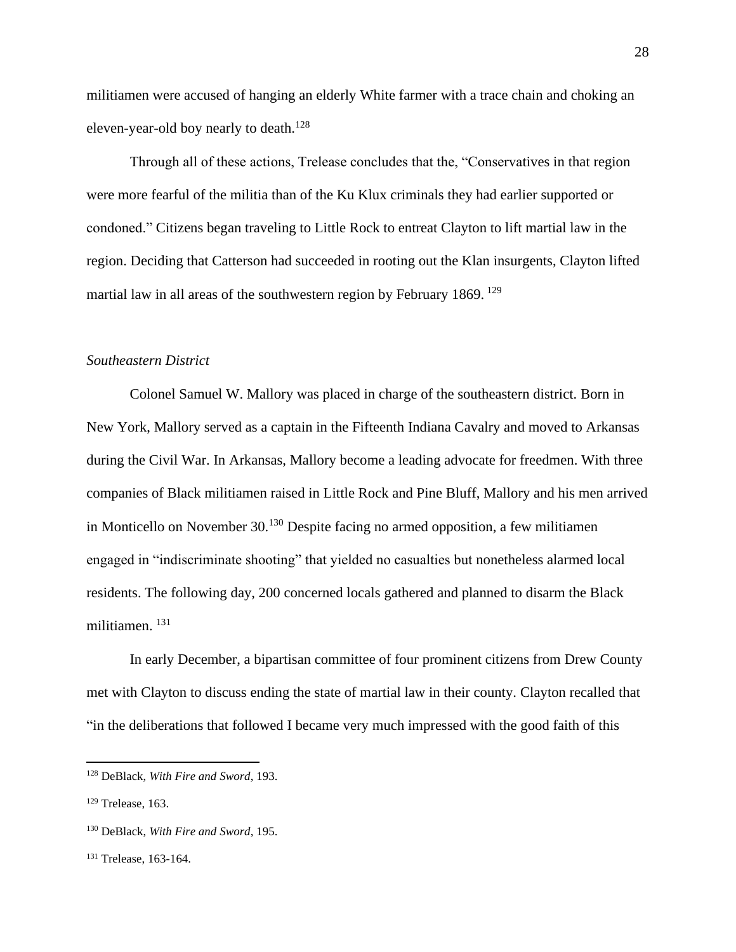militiamen were accused of hanging an elderly White farmer with a trace chain and choking an eleven-year-old boy nearly to death.<sup>128</sup>

Through all of these actions, Trelease concludes that the, "Conservatives in that region were more fearful of the militia than of the Ku Klux criminals they had earlier supported or condoned." Citizens began traveling to Little Rock to entreat Clayton to lift martial law in the region. Deciding that Catterson had succeeded in rooting out the Klan insurgents, Clayton lifted martial law in all areas of the southwestern region by February 1869. <sup>129</sup>

## *Southeastern District*

Colonel Samuel W. Mallory was placed in charge of the southeastern district. Born in New York, Mallory served as a captain in the Fifteenth Indiana Cavalry and moved to Arkansas during the Civil War. In Arkansas, Mallory become a leading advocate for freedmen. With three companies of Black militiamen raised in Little Rock and Pine Bluff, Mallory and his men arrived in Monticello on November 30.<sup>130</sup> Despite facing no armed opposition, a few militiamen engaged in "indiscriminate shooting" that yielded no casualties but nonetheless alarmed local residents. The following day, 200 concerned locals gathered and planned to disarm the Black militiamen. <sup>131</sup>

In early December, a bipartisan committee of four prominent citizens from Drew County met with Clayton to discuss ending the state of martial law in their county. Clayton recalled that "in the deliberations that followed I became very much impressed with the good faith of this

<sup>128</sup> DeBlack, *With Fire and Sword*, 193.

 $129$  Trelease, 163.

<sup>130</sup> DeBlack, *With Fire and Sword*, 195.

<sup>131</sup> Trelease, 163-164.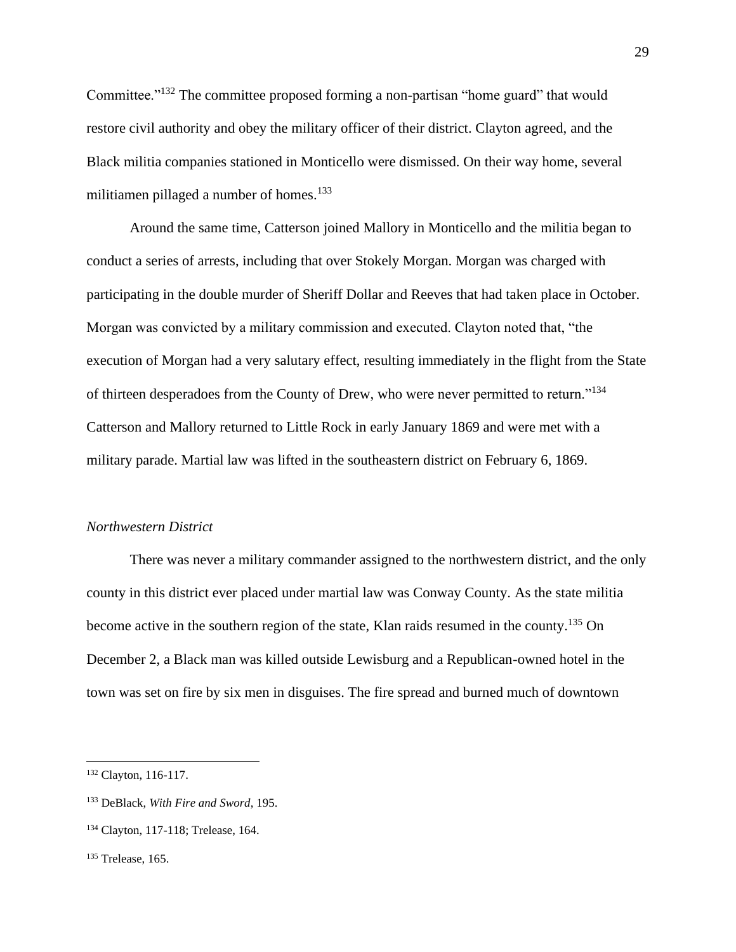Committee."<sup>132</sup> The committee proposed forming a non-partisan "home guard" that would restore civil authority and obey the military officer of their district. Clayton agreed, and the Black militia companies stationed in Monticello were dismissed. On their way home, several militiamen pillaged a number of homes.<sup>133</sup>

Around the same time, Catterson joined Mallory in Monticello and the militia began to conduct a series of arrests, including that over Stokely Morgan. Morgan was charged with participating in the double murder of Sheriff Dollar and Reeves that had taken place in October. Morgan was convicted by a military commission and executed. Clayton noted that, "the execution of Morgan had a very salutary effect, resulting immediately in the flight from the State of thirteen desperadoes from the County of Drew, who were never permitted to return."<sup>134</sup> Catterson and Mallory returned to Little Rock in early January 1869 and were met with a military parade. Martial law was lifted in the southeastern district on February 6, 1869.

#### *Northwestern District*

There was never a military commander assigned to the northwestern district, and the only county in this district ever placed under martial law was Conway County. As the state militia become active in the southern region of the state, Klan raids resumed in the county.<sup>135</sup> On December 2, a Black man was killed outside Lewisburg and a Republican-owned hotel in the town was set on fire by six men in disguises. The fire spread and burned much of downtown

<sup>132</sup> Clayton, 116-117.

<sup>133</sup> DeBlack, *With Fire and Sword*, 195.

<sup>134</sup> Clayton, 117-118; Trelease, 164.

<sup>&</sup>lt;sup>135</sup> Trelease, 165.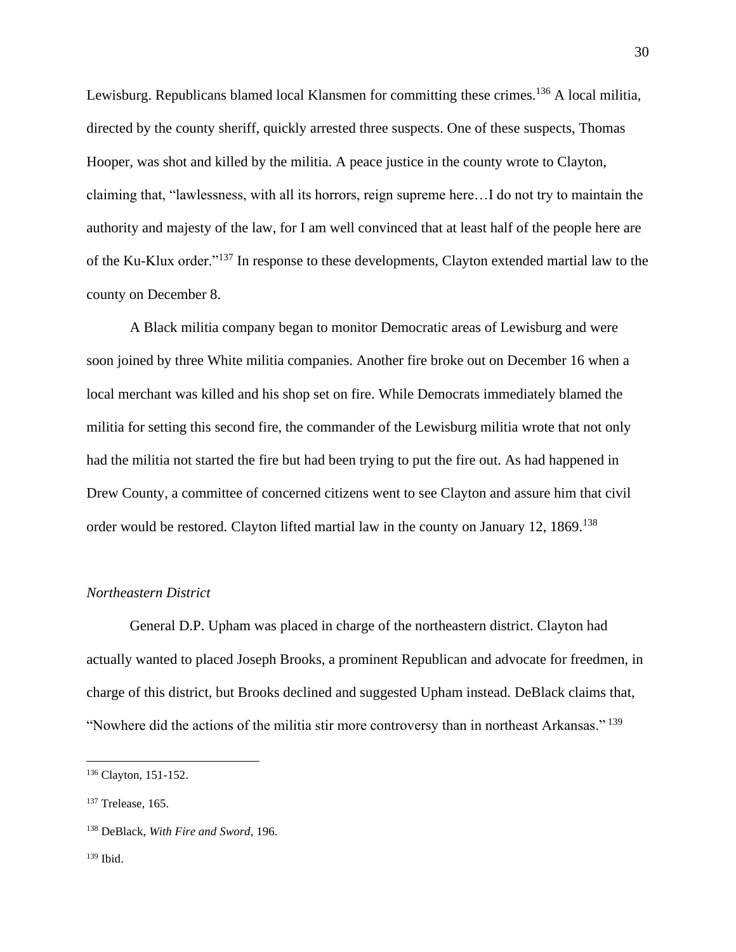Lewisburg. Republicans blamed local Klansmen for committing these crimes.<sup>136</sup> A local militia, directed by the county sheriff, quickly arrested three suspects. One of these suspects, Thomas Hooper, was shot and killed by the militia. A peace justice in the county wrote to Clayton, claiming that, "lawlessness, with all its horrors, reign supreme here…I do not try to maintain the authority and majesty of the law, for I am well convinced that at least half of the people here are of the Ku-Klux order."<sup>137</sup> In response to these developments, Clayton extended martial law to the county on December 8.

A Black militia company began to monitor Democratic areas of Lewisburg and were soon joined by three White militia companies. Another fire broke out on December 16 when a local merchant was killed and his shop set on fire. While Democrats immediately blamed the militia for setting this second fire, the commander of the Lewisburg militia wrote that not only had the militia not started the fire but had been trying to put the fire out. As had happened in Drew County, a committee of concerned citizens went to see Clayton and assure him that civil order would be restored. Clayton lifted martial law in the county on January 12, 1869.<sup>138</sup>

# *Northeastern District*

General D.P. Upham was placed in charge of the northeastern district. Clayton had actually wanted to placed Joseph Brooks, a prominent Republican and advocate for freedmen, in charge of this district, but Brooks declined and suggested Upham instead. DeBlack claims that, "Nowhere did the actions of the militia stir more controversy than in northeast Arkansas." <sup>139</sup>

<sup>136</sup> Clayton, 151-152.

<sup>137</sup> Trelease, 165.

<sup>138</sup> DeBlack, *With Fire and Sword*, 196.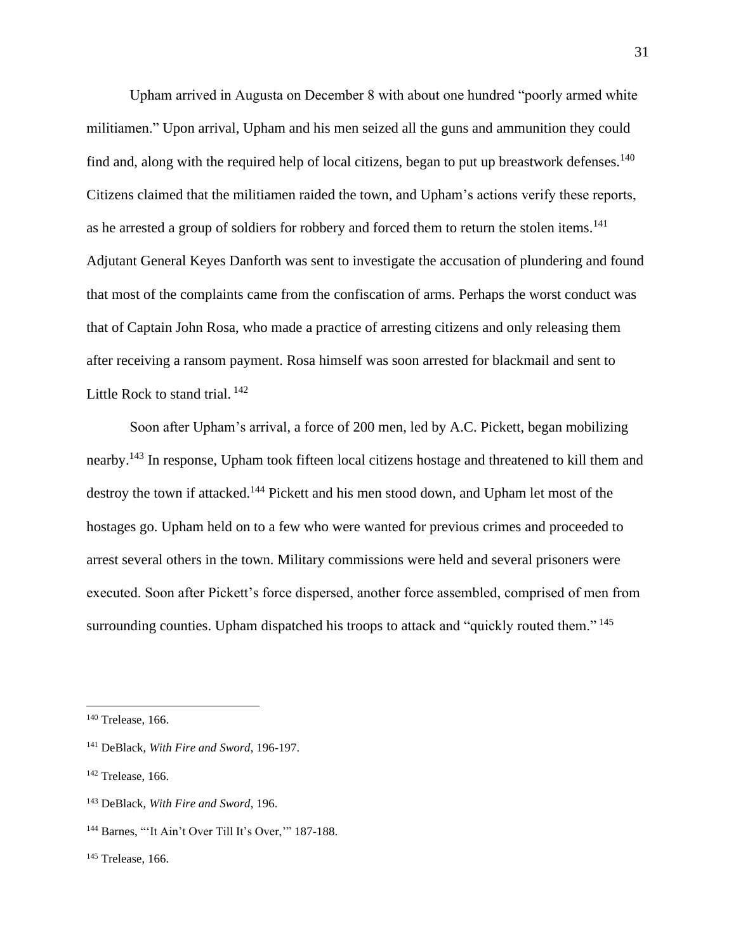Upham arrived in Augusta on December 8 with about one hundred "poorly armed white militiamen." Upon arrival, Upham and his men seized all the guns and ammunition they could find and, along with the required help of local citizens, began to put up breastwork defenses.<sup>140</sup> Citizens claimed that the militiamen raided the town, and Upham's actions verify these reports, as he arrested a group of soldiers for robbery and forced them to return the stolen items.<sup>141</sup> Adjutant General Keyes Danforth was sent to investigate the accusation of plundering and found that most of the complaints came from the confiscation of arms. Perhaps the worst conduct was that of Captain John Rosa, who made a practice of arresting citizens and only releasing them after receiving a ransom payment. Rosa himself was soon arrested for blackmail and sent to Little Rock to stand trial.<sup>142</sup>

Soon after Upham's arrival, a force of 200 men, led by A.C. Pickett, began mobilizing nearby.<sup>143</sup> In response, Upham took fifteen local citizens hostage and threatened to kill them and destroy the town if attacked.<sup>144</sup> Pickett and his men stood down, and Upham let most of the hostages go. Upham held on to a few who were wanted for previous crimes and proceeded to arrest several others in the town. Military commissions were held and several prisoners were executed. Soon after Pickett's force dispersed, another force assembled, comprised of men from surrounding counties. Upham dispatched his troops to attack and "quickly routed them."<sup>145</sup>

<sup>140</sup> Trelease, 166.

<sup>141</sup> DeBlack, *With Fire and Sword*, 196-197.

 $142$  Trelease, 166.

<sup>143</sup> DeBlack, *With Fire and Sword*, 196.

<sup>144</sup> Barnes, "'It Ain't Over Till It's Over,'" 187-188.

<sup>&</sup>lt;sup>145</sup> Trelease, 166.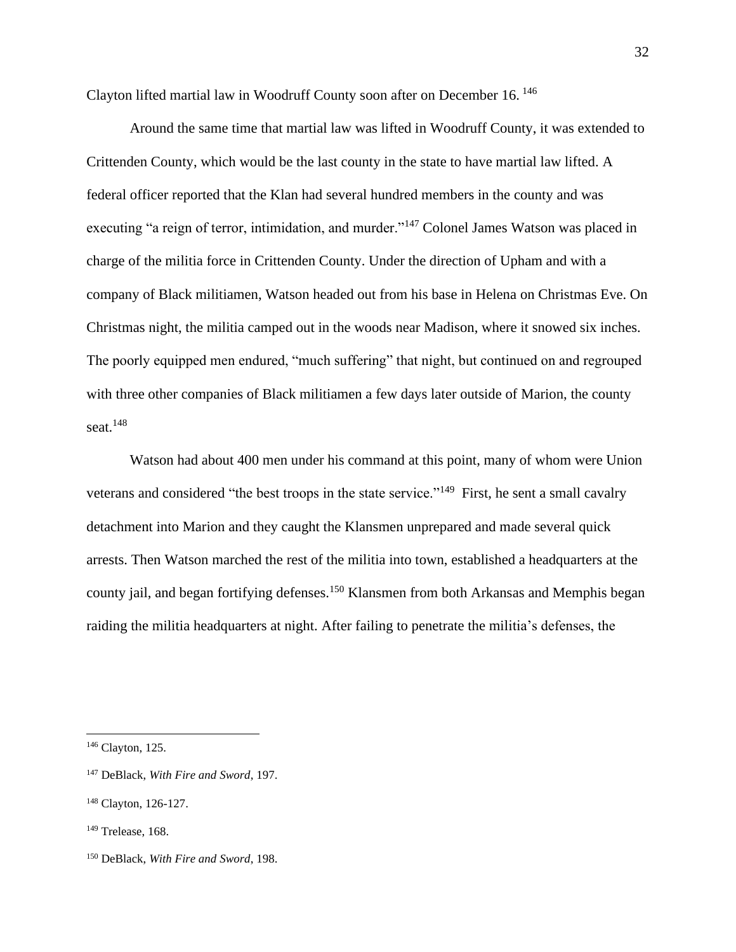Clayton lifted martial law in Woodruff County soon after on December 16. <sup>146</sup>

Around the same time that martial law was lifted in Woodruff County, it was extended to Crittenden County, which would be the last county in the state to have martial law lifted. A federal officer reported that the Klan had several hundred members in the county and was executing "a reign of terror, intimidation, and murder."<sup>147</sup> Colonel James Watson was placed in charge of the militia force in Crittenden County. Under the direction of Upham and with a company of Black militiamen, Watson headed out from his base in Helena on Christmas Eve. On Christmas night, the militia camped out in the woods near Madison, where it snowed six inches. The poorly equipped men endured, "much suffering" that night, but continued on and regrouped with three other companies of Black militiamen a few days later outside of Marion, the county seat. $148$ 

Watson had about 400 men under his command at this point, many of whom were Union veterans and considered "the best troops in the state service."<sup>149</sup> First, he sent a small cavalry detachment into Marion and they caught the Klansmen unprepared and made several quick arrests. Then Watson marched the rest of the militia into town, established a headquarters at the county jail, and began fortifying defenses.<sup>150</sup> Klansmen from both Arkansas and Memphis began raiding the militia headquarters at night. After failing to penetrate the militia's defenses, the

<sup>146</sup> Clayton, 125.

<sup>147</sup> DeBlack, *With Fire and Sword*, 197.

<sup>148</sup> Clayton, 126-127.

<sup>149</sup> Trelease, 168.

<sup>150</sup> DeBlack, *With Fire and Sword*, 198.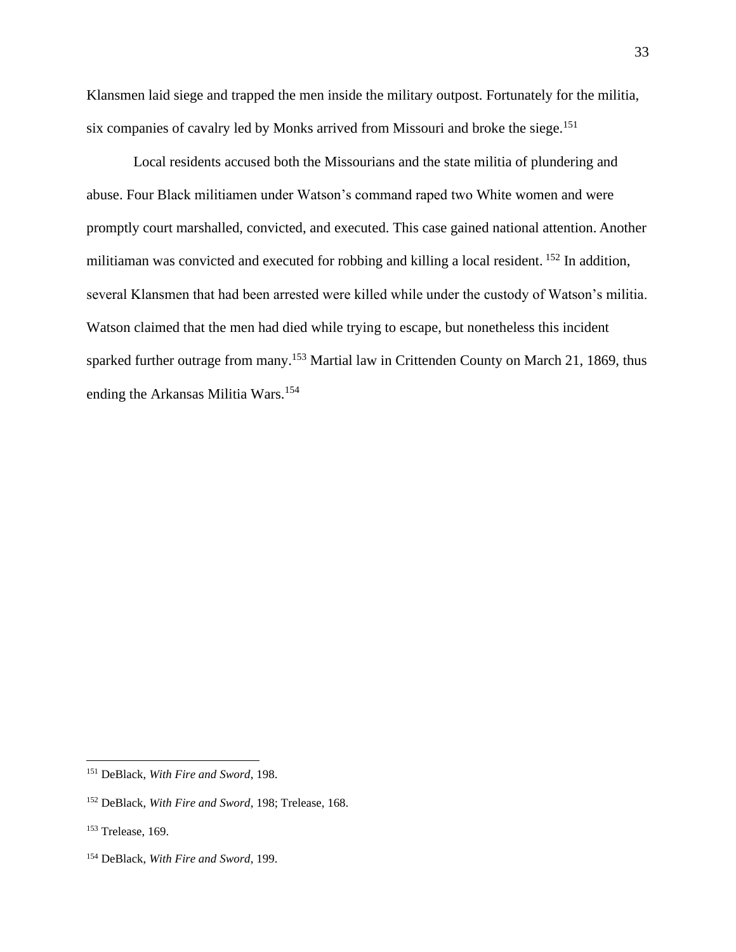Klansmen laid siege and trapped the men inside the military outpost. Fortunately for the militia, six companies of cavalry led by Monks arrived from Missouri and broke the siege.<sup>151</sup>

Local residents accused both the Missourians and the state militia of plundering and abuse. Four Black militiamen under Watson's command raped two White women and were promptly court marshalled, convicted, and executed. This case gained national attention. Another militiaman was convicted and executed for robbing and killing a local resident. <sup>152</sup> In addition, several Klansmen that had been arrested were killed while under the custody of Watson's militia. Watson claimed that the men had died while trying to escape, but nonetheless this incident sparked further outrage from many.<sup>153</sup> Martial law in Crittenden County on March 21, 1869, thus ending the Arkansas Militia Wars.<sup>154</sup>

<sup>151</sup> DeBlack, *With Fire and Sword*, 198.

<sup>152</sup> DeBlack, *With Fire and Sword*, 198; Trelease, 168.

<sup>153</sup> Trelease, 169.

<sup>154</sup> DeBlack, *With Fire and Sword*, 199.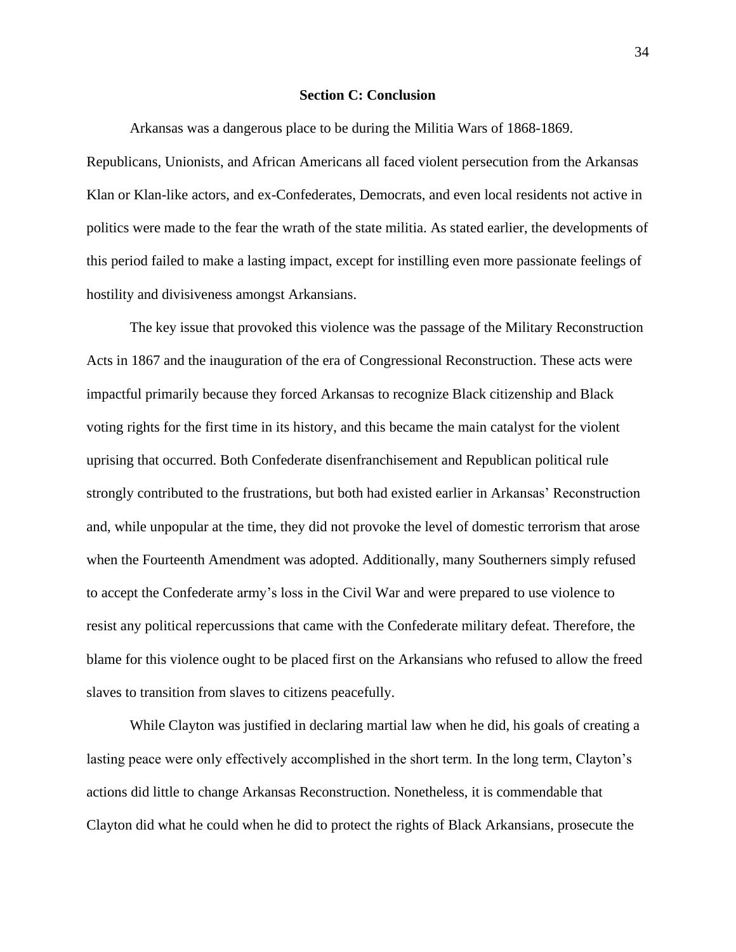### **Section C: Conclusion**

Arkansas was a dangerous place to be during the Militia Wars of 1868-1869. Republicans, Unionists, and African Americans all faced violent persecution from the Arkansas Klan or Klan-like actors, and ex-Confederates, Democrats, and even local residents not active in politics were made to the fear the wrath of the state militia. As stated earlier, the developments of this period failed to make a lasting impact, except for instilling even more passionate feelings of hostility and divisiveness amongst Arkansians.

The key issue that provoked this violence was the passage of the Military Reconstruction Acts in 1867 and the inauguration of the era of Congressional Reconstruction. These acts were impactful primarily because they forced Arkansas to recognize Black citizenship and Black voting rights for the first time in its history, and this became the main catalyst for the violent uprising that occurred. Both Confederate disenfranchisement and Republican political rule strongly contributed to the frustrations, but both had existed earlier in Arkansas' Reconstruction and, while unpopular at the time, they did not provoke the level of domestic terrorism that arose when the Fourteenth Amendment was adopted. Additionally, many Southerners simply refused to accept the Confederate army's loss in the Civil War and were prepared to use violence to resist any political repercussions that came with the Confederate military defeat. Therefore, the blame for this violence ought to be placed first on the Arkansians who refused to allow the freed slaves to transition from slaves to citizens peacefully.

While Clayton was justified in declaring martial law when he did, his goals of creating a lasting peace were only effectively accomplished in the short term. In the long term, Clayton's actions did little to change Arkansas Reconstruction. Nonetheless, it is commendable that Clayton did what he could when he did to protect the rights of Black Arkansians, prosecute the

34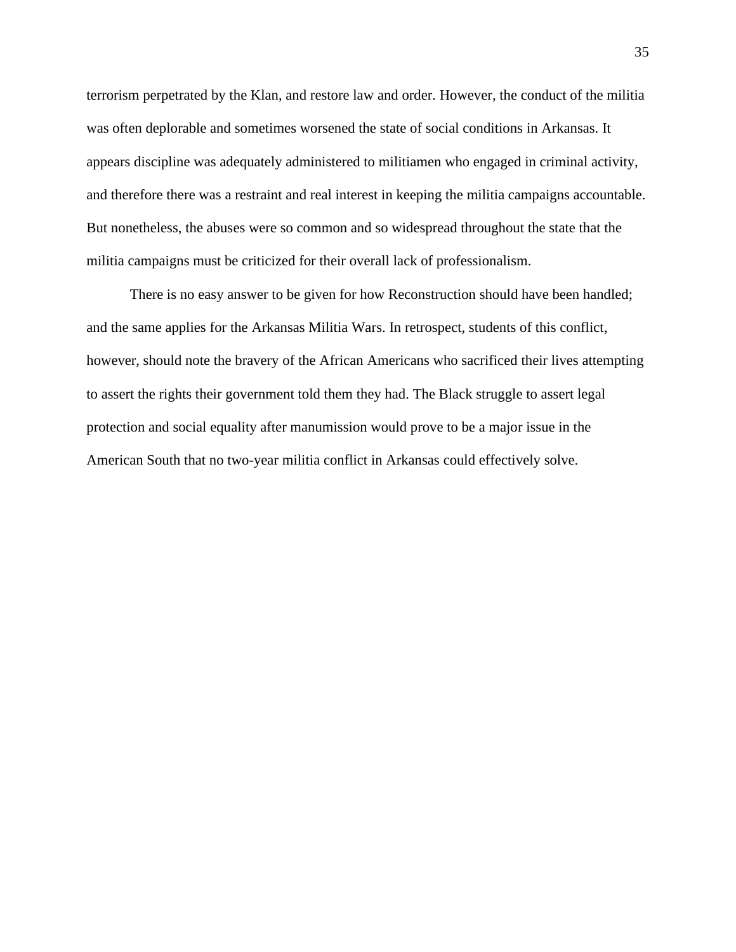terrorism perpetrated by the Klan, and restore law and order. However, the conduct of the militia was often deplorable and sometimes worsened the state of social conditions in Arkansas. It appears discipline was adequately administered to militiamen who engaged in criminal activity, and therefore there was a restraint and real interest in keeping the militia campaigns accountable. But nonetheless, the abuses were so common and so widespread throughout the state that the militia campaigns must be criticized for their overall lack of professionalism.

There is no easy answer to be given for how Reconstruction should have been handled; and the same applies for the Arkansas Militia Wars. In retrospect, students of this conflict, however, should note the bravery of the African Americans who sacrificed their lives attempting to assert the rights their government told them they had. The Black struggle to assert legal protection and social equality after manumission would prove to be a major issue in the American South that no two-year militia conflict in Arkansas could effectively solve.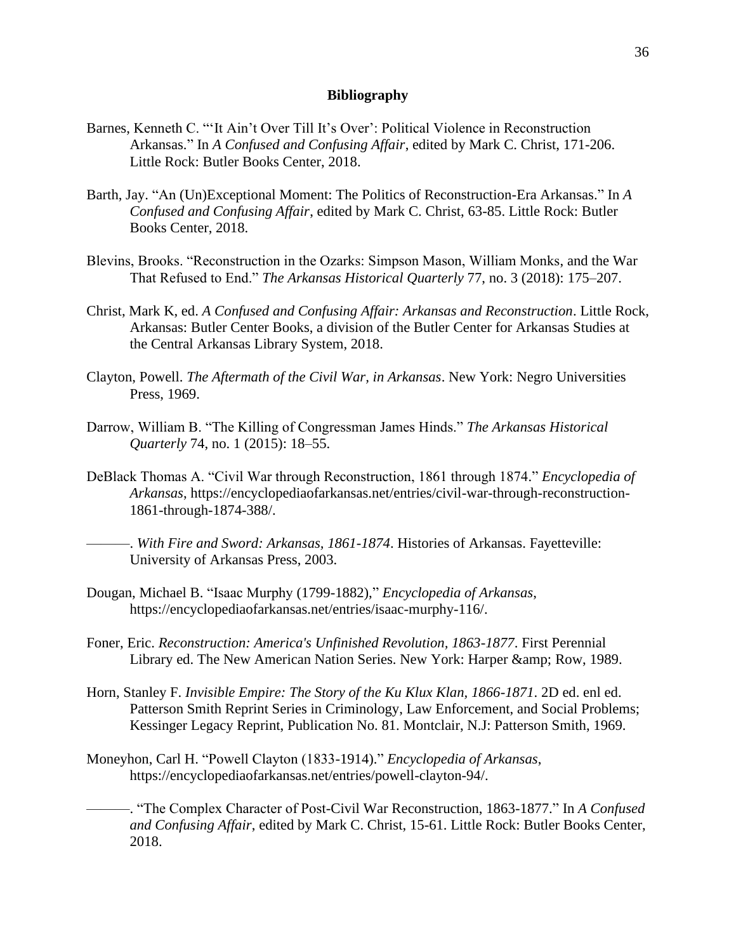#### **Bibliography**

- Barnes, Kenneth C. "'It Ain't Over Till It's Over': Political Violence in Reconstruction Arkansas." In *A Confused and Confusing Affair*, edited by Mark C. Christ, 171-206. Little Rock: Butler Books Center, 2018.
- Barth, Jay. "An (Un)Exceptional Moment: The Politics of Reconstruction-Era Arkansas." In *A Confused and Confusing Affair*, edited by Mark C. Christ, 63-85. Little Rock: Butler Books Center, 2018.
- Blevins, Brooks. "Reconstruction in the Ozarks: Simpson Mason, William Monks, and the War That Refused to End." *The Arkansas Historical Quarterly* 77, no. 3 (2018): 175–207.
- Christ, Mark K, ed. *A Confused and Confusing Affair: Arkansas and Reconstruction*. Little Rock, Arkansas: Butler Center Books, a division of the Butler Center for Arkansas Studies at the Central Arkansas Library System, 2018.
- Clayton, Powell. *The Aftermath of the Civil War, in Arkansas*. New York: Negro Universities Press, 1969.
- Darrow, William B. "The Killing of Congressman James Hinds." *The Arkansas Historical Quarterly* 74, no. 1 (2015): 18–55.
- DeBlack Thomas A. "Civil War through Reconstruction, 1861 through 1874." *Encyclopedia of Arkansas*, https://encyclopediaofarkansas.net/entries/civil-war-through-reconstruction-1861-through-1874-388/.
	- ———. *With Fire and Sword: Arkansas, 1861-1874*. Histories of Arkansas. Fayetteville: University of Arkansas Press, 2003.
- Dougan, Michael B. "Isaac Murphy (1799-1882)," *Encyclopedia of Arkansas*, https://encyclopediaofarkansas.net/entries/isaac-murphy-116/.
- Foner, Eric. *Reconstruction: America's Unfinished Revolution, 1863-1877*. First Perennial Library ed. The New American Nation Series. New York: Harper & amp; Row, 1989.
- Horn, Stanley F. *Invisible Empire: The Story of the Ku Klux Klan, 1866-1871*. 2D ed. enl ed. Patterson Smith Reprint Series in Criminology, Law Enforcement, and Social Problems; Kessinger Legacy Reprint, Publication No. 81. Montclair, N.J: Patterson Smith, 1969.
- Moneyhon, Carl H. "Powell Clayton (1833-1914)." *Encyclopedia of Arkansas*, https://encyclopediaofarkansas.net/entries/powell-clayton-94/.
- ———. "The Complex Character of Post-Civil War Reconstruction, 1863-1877." In *A Confused and Confusing Affair*, edited by Mark C. Christ, 15-61. Little Rock: Butler Books Center, 2018.